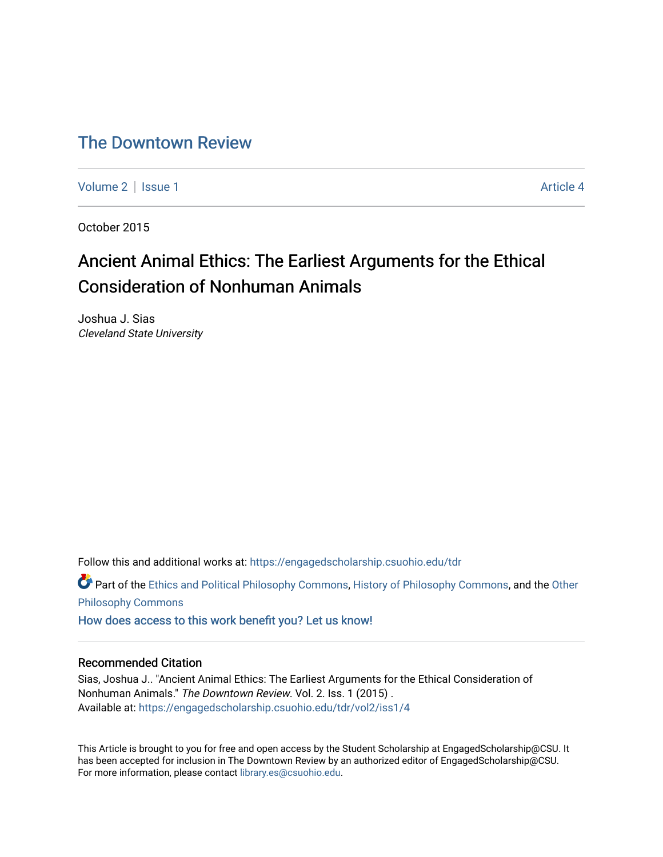# [The Downtown Review](https://engagedscholarship.csuohio.edu/tdr)

[Volume 2](https://engagedscholarship.csuohio.edu/tdr/vol2) | [Issue 1](https://engagedscholarship.csuohio.edu/tdr/vol2/iss1) Article 4

October 2015

# Ancient Animal Ethics: The Earliest Arguments for the Ethical Consideration of Nonhuman Animals

Joshua J. Sias Cleveland State University

Follow this and additional works at: [https://engagedscholarship.csuohio.edu/tdr](https://engagedscholarship.csuohio.edu/tdr?utm_source=engagedscholarship.csuohio.edu%2Ftdr%2Fvol2%2Fiss1%2F4&utm_medium=PDF&utm_campaign=PDFCoverPages) 

**C** Part of the [Ethics and Political Philosophy Commons,](http://network.bepress.com/hgg/discipline/529?utm_source=engagedscholarship.csuohio.edu%2Ftdr%2Fvol2%2Fiss1%2F4&utm_medium=PDF&utm_campaign=PDFCoverPages) [History of Philosophy Commons,](http://network.bepress.com/hgg/discipline/531?utm_source=engagedscholarship.csuohio.edu%2Ftdr%2Fvol2%2Fiss1%2F4&utm_medium=PDF&utm_campaign=PDFCoverPages) and the [Other](http://network.bepress.com/hgg/discipline/537?utm_source=engagedscholarship.csuohio.edu%2Ftdr%2Fvol2%2Fiss1%2F4&utm_medium=PDF&utm_campaign=PDFCoverPages) [Philosophy Commons](http://network.bepress.com/hgg/discipline/537?utm_source=engagedscholarship.csuohio.edu%2Ftdr%2Fvol2%2Fiss1%2F4&utm_medium=PDF&utm_campaign=PDFCoverPages) 

[How does access to this work benefit you? Let us know!](http://library.csuohio.edu/engaged/)

### Recommended Citation

Sias, Joshua J.. "Ancient Animal Ethics: The Earliest Arguments for the Ethical Consideration of Nonhuman Animals." The Downtown Review. Vol. 2. Iss. 1 (2015) . Available at: [https://engagedscholarship.csuohio.edu/tdr/vol2/iss1/4](https://engagedscholarship.csuohio.edu/tdr/vol2/iss1/4?utm_source=engagedscholarship.csuohio.edu%2Ftdr%2Fvol2%2Fiss1%2F4&utm_medium=PDF&utm_campaign=PDFCoverPages) 

This Article is brought to you for free and open access by the Student Scholarship at EngagedScholarship@CSU. It has been accepted for inclusion in The Downtown Review by an authorized editor of EngagedScholarship@CSU. For more information, please contact [library.es@csuohio.edu.](mailto:library.es@csuohio.edu)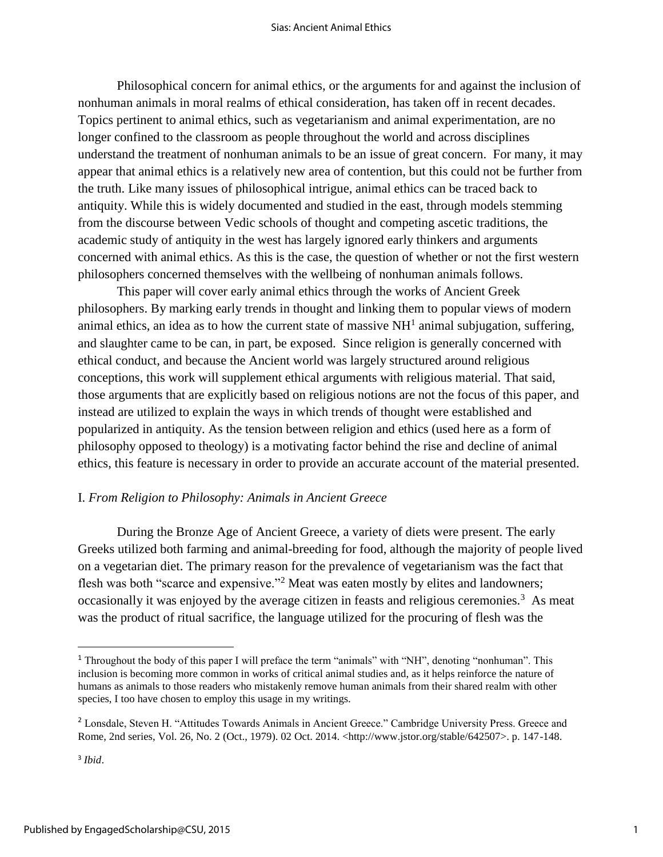Philosophical concern for animal ethics, or the arguments for and against the inclusion of nonhuman animals in moral realms of ethical consideration, has taken off in recent decades. Topics pertinent to animal ethics, such as vegetarianism and animal experimentation, are no longer confined to the classroom as people throughout the world and across disciplines understand the treatment of nonhuman animals to be an issue of great concern. For many, it may appear that animal ethics is a relatively new area of contention, but this could not be further from the truth. Like many issues of philosophical intrigue, animal ethics can be traced back to antiquity. While this is widely documented and studied in the east, through models stemming from the discourse between Vedic schools of thought and competing ascetic traditions, the academic study of antiquity in the west has largely ignored early thinkers and arguments concerned with animal ethics. As this is the case, the question of whether or not the first western philosophers concerned themselves with the wellbeing of nonhuman animals follows.

This paper will cover early animal ethics through the works of Ancient Greek philosophers. By marking early trends in thought and linking them to popular views of modern animal ethics, an idea as to how the current state of massive  $NH<sup>1</sup>$  animal subjugation, suffering, and slaughter came to be can, in part, be exposed. Since religion is generally concerned with ethical conduct, and because the Ancient world was largely structured around religious conceptions, this work will supplement ethical arguments with religious material. That said, those arguments that are explicitly based on religious notions are not the focus of this paper, and instead are utilized to explain the ways in which trends of thought were established and popularized in antiquity. As the tension between religion and ethics (used here as a form of philosophy opposed to theology) is a motivating factor behind the rise and decline of animal ethics, this feature is necessary in order to provide an accurate account of the material presented.

### I. *From Religion to Philosophy: Animals in Ancient Greece*

During the Bronze Age of Ancient Greece, a variety of diets were present. The early Greeks utilized both farming and animal-breeding for food, although the majority of people lived on a vegetarian diet. The primary reason for the prevalence of vegetarianism was the fact that flesh was both "scarce and expensive."<sup>2</sup> Meat was eaten mostly by elites and landowners; occasionally it was enjoyed by the average citizen in feasts and religious ceremonies.<sup>3</sup> As meat was the product of ritual sacrifice, the language utilized for the procuring of flesh was the

 $\overline{\phantom{a}}$ 

<sup>&</sup>lt;sup>1</sup> Throughout the body of this paper I will preface the term "animals" with "NH", denoting "nonhuman". This inclusion is becoming more common in works of critical animal studies and, as it helps reinforce the nature of humans as animals to those readers who mistakenly remove human animals from their shared realm with other species, I too have chosen to employ this usage in my writings.

<sup>2</sup> Lonsdale, Steven H. "Attitudes Towards Animals in Ancient Greece." Cambridge University Press. Greece and Rome, 2nd series, Vol. 26, No. 2 (Oct., 1979). 02 Oct. 2014. <http://www.jstor.org/stable/642507>. p. 147-148.

<sup>3</sup> *Ibid*.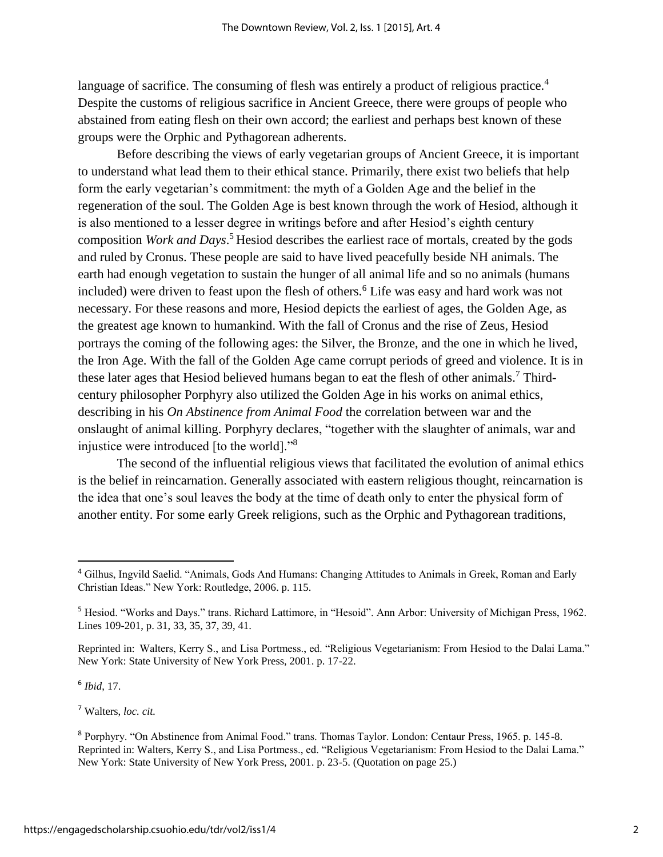language of sacrifice. The consuming of flesh was entirely a product of religious practice.<sup>4</sup> Despite the customs of religious sacrifice in Ancient Greece, there were groups of people who abstained from eating flesh on their own accord; the earliest and perhaps best known of these groups were the Orphic and Pythagorean adherents.

Before describing the views of early vegetarian groups of Ancient Greece, it is important to understand what lead them to their ethical stance. Primarily, there exist two beliefs that help form the early vegetarian's commitment: the myth of a Golden Age and the belief in the regeneration of the soul. The Golden Age is best known through the work of Hesiod, although it is also mentioned to a lesser degree in writings before and after Hesiod's eighth century composition *Work and Days*. <sup>5</sup> Hesiod describes the earliest race of mortals, created by the gods and ruled by Cronus. These people are said to have lived peacefully beside NH animals. The earth had enough vegetation to sustain the hunger of all animal life and so no animals (humans included) were driven to feast upon the flesh of others.<sup>6</sup> Life was easy and hard work was not necessary. For these reasons and more, Hesiod depicts the earliest of ages, the Golden Age, as the greatest age known to humankind. With the fall of Cronus and the rise of Zeus, Hesiod portrays the coming of the following ages: the Silver, the Bronze, and the one in which he lived, the Iron Age. With the fall of the Golden Age came corrupt periods of greed and violence. It is in these later ages that Hesiod believed humans began to eat the flesh of other animals.<sup>7</sup> Thirdcentury philosopher Porphyry also utilized the Golden Age in his works on animal ethics, describing in his *On Abstinence from Animal Food* the correlation between war and the onslaught of animal killing. Porphyry declares, "together with the slaughter of animals, war and injustice were introduced [to the world]."<sup>8</sup>

The second of the influential religious views that facilitated the evolution of animal ethics is the belief in reincarnation. Generally associated with eastern religious thought, reincarnation is the idea that one's soul leaves the body at the time of death only to enter the physical form of another entity. For some early Greek religions, such as the Orphic and Pythagorean traditions,

6 *Ibid*, 17.

<sup>4</sup> Gilhus, Ingvild Saelid. "Animals, Gods And Humans: Changing Attitudes to Animals in Greek, Roman and Early Christian Ideas." New York: Routledge, 2006. p. 115.

<sup>5</sup> Hesiod. "Works and Days." trans. Richard Lattimore, in "Hesoid". Ann Arbor: University of Michigan Press, 1962. Lines 109-201, p. 31, 33, 35, 37, 39, 41.

Reprinted in: Walters, Kerry S., and Lisa Portmess., ed. "Religious Vegetarianism: From Hesiod to the Dalai Lama." New York: State University of New York Press, 2001. p. 17-22.

<sup>7</sup> Walters, *loc. cit.*

<sup>8</sup> Porphyry. "On Abstinence from Animal Food." trans. Thomas Taylor. London: Centaur Press, 1965. p. 145-8. Reprinted in: Walters, Kerry S., and Lisa Portmess., ed. "Religious Vegetarianism: From Hesiod to the Dalai Lama." New York: State University of New York Press, 2001. p. 23-5. (Quotation on page 25.)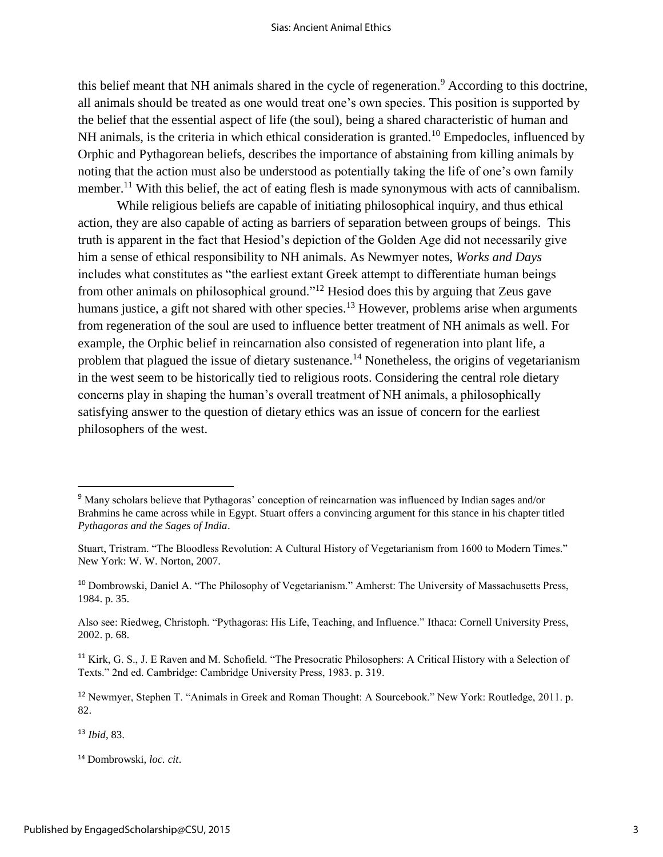this belief meant that NH animals shared in the cycle of regeneration.<sup>9</sup> According to this doctrine, all animals should be treated as one would treat one's own species. This position is supported by the belief that the essential aspect of life (the soul), being a shared characteristic of human and NH animals, is the criteria in which ethical consideration is granted.<sup>10</sup> Empedocles, influenced by Orphic and Pythagorean beliefs, describes the importance of abstaining from killing animals by noting that the action must also be understood as potentially taking the life of one's own family member.<sup>11</sup> With this belief, the act of eating flesh is made synonymous with acts of cannibalism.

While religious beliefs are capable of initiating philosophical inquiry, and thus ethical action, they are also capable of acting as barriers of separation between groups of beings. This truth is apparent in the fact that Hesiod's depiction of the Golden Age did not necessarily give him a sense of ethical responsibility to NH animals. As Newmyer notes, *Works and Days* includes what constitutes as "the earliest extant Greek attempt to differentiate human beings from other animals on philosophical ground."<sup>12</sup> Hesiod does this by arguing that Zeus gave humans justice, a gift not shared with other species.<sup>13</sup> However, problems arise when arguments from regeneration of the soul are used to influence better treatment of NH animals as well. For example, the Orphic belief in reincarnation also consisted of regeneration into plant life, a problem that plagued the issue of dietary sustenance.<sup>14</sup> Nonetheless, the origins of vegetarianism in the west seem to be historically tied to religious roots. Considering the central role dietary concerns play in shaping the human's overall treatment of NH animals, a philosophically satisfying answer to the question of dietary ethics was an issue of concern for the earliest philosophers of the west.

<sup>13</sup> *Ibid*, 83.

<sup>9</sup> Many scholars believe that Pythagoras' conception of reincarnation was influenced by Indian sages and/or Brahmins he came across while in Egypt. Stuart offers a convincing argument for this stance in his chapter titled *Pythagoras and the Sages of India*.

Stuart, Tristram. "The Bloodless Revolution: A Cultural History of Vegetarianism from 1600 to Modern Times." New York: W. W. Norton, 2007.

<sup>10</sup> Dombrowski, Daniel A. "The Philosophy of Vegetarianism." Amherst: The University of Massachusetts Press, 1984. p. 35.

Also see: Riedweg, Christoph. "Pythagoras: His Life, Teaching, and Influence." Ithaca: Cornell University Press, 2002. p. 68.

<sup>&</sup>lt;sup>11</sup> Kirk, G. S., J. E Raven and M. Schofield. "The Presocratic Philosophers: A Critical History with a Selection of Texts." 2nd ed. Cambridge: Cambridge University Press, 1983. p. 319.

<sup>12</sup> Newmyer, Stephen T. "Animals in Greek and Roman Thought: A Sourcebook." New York: Routledge, 2011. p. 82.

<sup>14</sup> Dombrowski, *loc. cit*.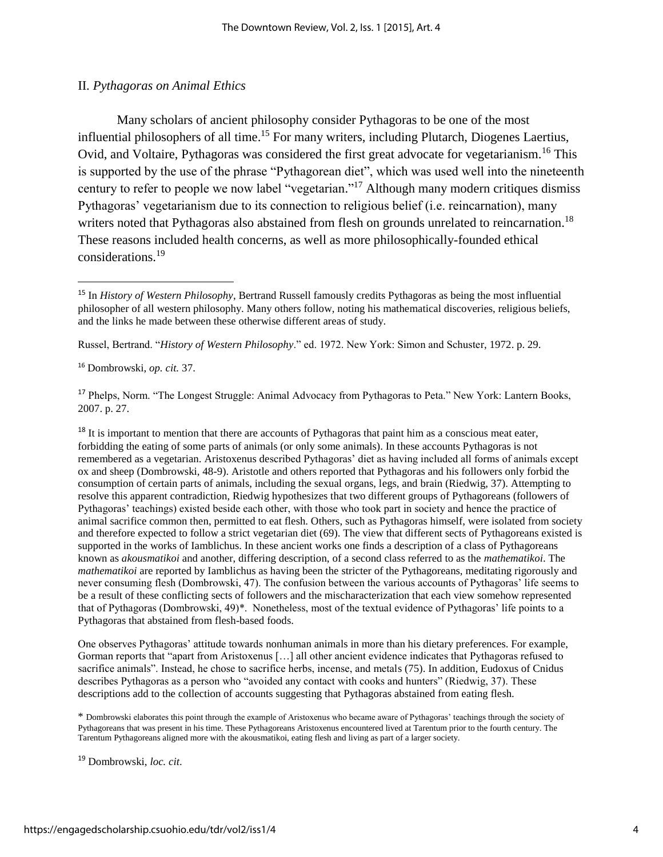### II. *Pythagoras on Animal Ethics*

Many scholars of ancient philosophy consider Pythagoras to be one of the most influential philosophers of all time.<sup>15</sup> For many writers, including Plutarch, Diogenes Laertius, Ovid, and Voltaire, Pythagoras was considered the first great advocate for vegetarianism.<sup>16</sup> This is supported by the use of the phrase "Pythagorean diet", which was used well into the nineteenth century to refer to people we now label "vegetarian."<sup>17</sup> Although many modern critiques dismiss Pythagoras' vegetarianism due to its connection to religious belief (i.e. reincarnation), many writers noted that Pythagoras also abstained from flesh on grounds unrelated to reincarnation.<sup>18</sup> These reasons included health concerns, as well as more philosophically-founded ethical considerations.<sup>19</sup>

Russel, Bertrand. "*History of Western Philosophy*." ed. 1972. New York: Simon and Schuster, 1972. p. 29.

<sup>16</sup> Dombrowski, *op. cit.* 37.

 $\overline{\phantom{a}}$ 

<sup>17</sup> Phelps, Norm. "The Longest Struggle: Animal Advocacy from Pythagoras to Peta." New York: Lantern Books, 2007. p. 27.

<sup>18</sup> It is important to mention that there are accounts of Pythagoras that paint him as a conscious meat eater, forbidding the eating of some parts of animals (or only some animals). In these accounts Pythagoras is not remembered as a vegetarian. Aristoxenus described Pythagoras' diet as having included all forms of animals except ox and sheep (Dombrowski, 48-9). Aristotle and others reported that Pythagoras and his followers only forbid the consumption of certain parts of animals, including the sexual organs, legs, and brain (Riedwig, 37). Attempting to resolve this apparent contradiction, Riedwig hypothesizes that two different groups of Pythagoreans (followers of Pythagoras' teachings) existed beside each other, with those who took part in society and hence the practice of animal sacrifice common then, permitted to eat flesh. Others, such as Pythagoras himself, were isolated from society and therefore expected to follow a strict vegetarian diet (69). The view that different sects of Pythagoreans existed is supported in the works of Iamblichus. In these ancient works one finds a description of a class of Pythagoreans known as *akousmatikoi* and another, differing description, of a second class referred to as the *mathematikoi*. The *mathematikoi* are reported by Iamblichus as having been the stricter of the Pythagoreans, meditating rigorously and never consuming flesh (Dombrowski, 47). The confusion between the various accounts of Pythagoras' life seems to be a result of these conflicting sects of followers and the mischaracterization that each view somehow represented that of Pythagoras (Dombrowski, 49)\*. Nonetheless, most of the textual evidence of Pythagoras' life points to a Pythagoras that abstained from flesh-based foods.

One observes Pythagoras' attitude towards nonhuman animals in more than his dietary preferences. For example, Gorman reports that "apart from Aristoxenus […] all other ancient evidence indicates that Pythagoras refused to sacrifice animals". Instead, he chose to sacrifice herbs, incense, and metals (75). In addition, Eudoxus of Cnidus describes Pythagoras as a person who "avoided any contact with cooks and hunters" (Riedwig, 37). These descriptions add to the collection of accounts suggesting that Pythagoras abstained from eating flesh.

\* Dombrowski elaborates this point through the example of Aristoxenus who became aware of Pythagoras' teachings through the society of Pythagoreans that was present in his time. These Pythagoreans Aristoxenus encountered lived at Tarentum prior to the fourth century. The Tarentum Pythagoreans aligned more with the akousmatikoi, eating flesh and living as part of a larger society.

<sup>15</sup> In *History of Western Philosophy*, Bertrand Russell famously credits Pythagoras as being the most influential philosopher of all western philosophy. Many others follow, noting his mathematical discoveries, religious beliefs, and the links he made between these otherwise different areas of study.

<sup>19</sup> Dombrowski, *loc. cit*.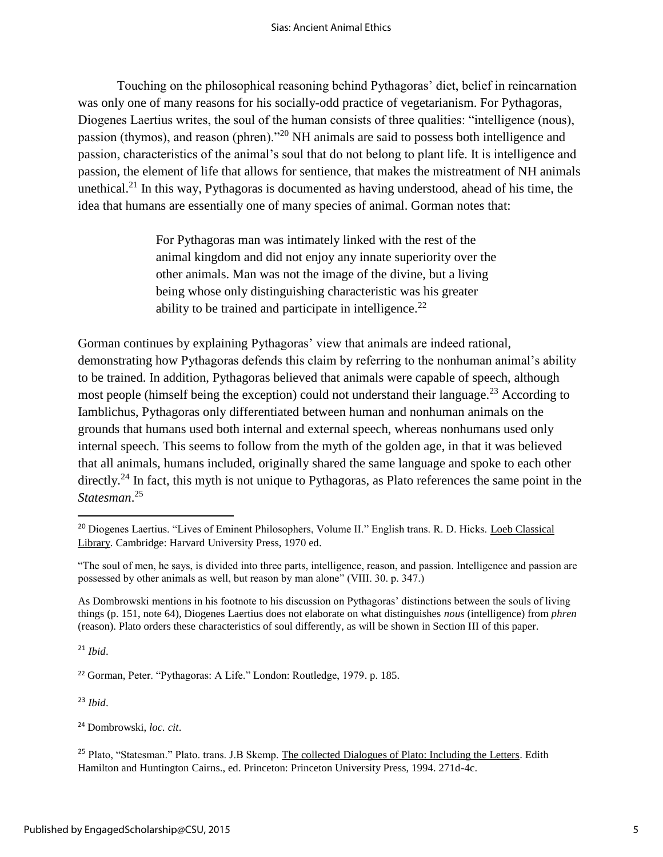Touching on the philosophical reasoning behind Pythagoras' diet, belief in reincarnation was only one of many reasons for his socially-odd practice of vegetarianism. For Pythagoras, Diogenes Laertius writes, the soul of the human consists of three qualities: "intelligence (nous), passion (thymos), and reason (phren)."<sup>20</sup> NH animals are said to possess both intelligence and passion, characteristics of the animal's soul that do not belong to plant life. It is intelligence and passion, the element of life that allows for sentience, that makes the mistreatment of NH animals unethical.<sup>21</sup> In this way, Pythagoras is documented as having understood, ahead of his time, the idea that humans are essentially one of many species of animal. Gorman notes that:

> For Pythagoras man was intimately linked with the rest of the animal kingdom and did not enjoy any innate superiority over the other animals. Man was not the image of the divine, but a living being whose only distinguishing characteristic was his greater ability to be trained and participate in intelligence. $22$

Gorman continues by explaining Pythagoras' view that animals are indeed rational, demonstrating how Pythagoras defends this claim by referring to the nonhuman animal's ability to be trained. In addition, Pythagoras believed that animals were capable of speech, although most people (himself being the exception) could not understand their language.<sup>23</sup> According to Iamblichus, Pythagoras only differentiated between human and nonhuman animals on the grounds that humans used both internal and external speech, whereas nonhumans used only internal speech. This seems to follow from the myth of the golden age, in that it was believed that all animals, humans included, originally shared the same language and spoke to each other directly.<sup>24</sup> In fact, this myth is not unique to Pythagoras, as Plato references the same point in the *Statesman*. 25

<sup>21</sup> *Ibid*.

 $\overline{\phantom{a}}$ 

<sup>22</sup> Gorman, Peter. "Pythagoras: A Life." London: Routledge, 1979. p. 185.

<sup>23</sup> *Ibid*.

<sup>&</sup>lt;sup>20</sup> Diogenes Laertius. "Lives of Eminent Philosophers, Volume II." English trans. R. D. Hicks. Loeb Classical Library. Cambridge: Harvard University Press, 1970 ed.

<sup>&</sup>quot;The soul of men, he says, is divided into three parts, intelligence, reason, and passion. Intelligence and passion are possessed by other animals as well, but reason by man alone" (VIII. 30. p. 347.)

As Dombrowski mentions in his footnote to his discussion on Pythagoras' distinctions between the souls of living things (p. 151, note 64), Diogenes Laertius does not elaborate on what distinguishes *nous* (intelligence) from *phren*  (reason). Plato orders these characteristics of soul differently, as will be shown in Section III of this paper.

<sup>24</sup> Dombrowski, *loc. cit*.

<sup>&</sup>lt;sup>25</sup> Plato, "Statesman." Plato. trans. J.B Skemp. The collected Dialogues of Plato: Including the Letters. Edith Hamilton and Huntington Cairns., ed. Princeton: Princeton University Press, 1994. 271d-4c.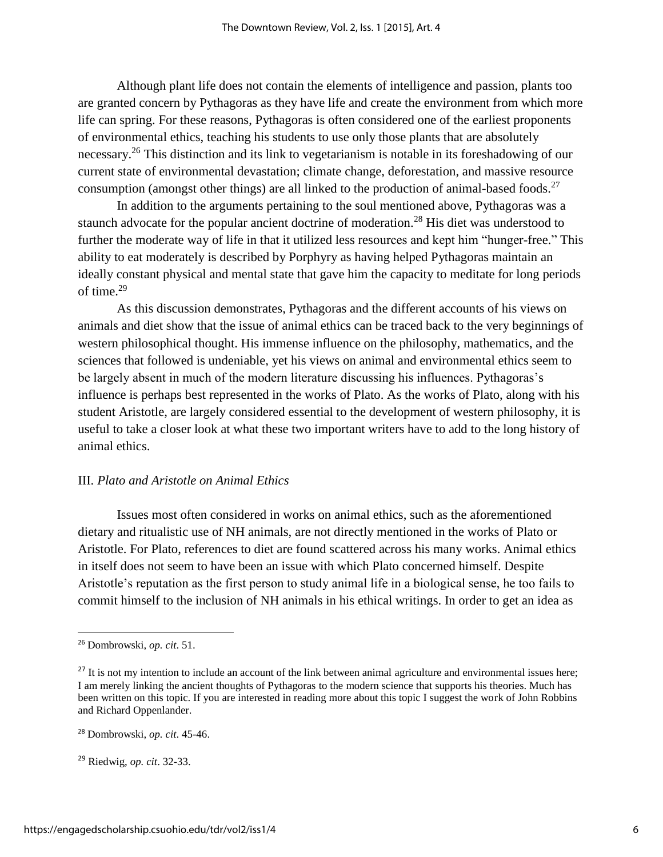Although plant life does not contain the elements of intelligence and passion, plants too are granted concern by Pythagoras as they have life and create the environment from which more life can spring. For these reasons, Pythagoras is often considered one of the earliest proponents of environmental ethics, teaching his students to use only those plants that are absolutely necessary.<sup>26</sup> This distinction and its link to vegetarianism is notable in its foreshadowing of our current state of environmental devastation; climate change, deforestation, and massive resource consumption (amongst other things) are all linked to the production of animal-based foods.<sup>27</sup>

In addition to the arguments pertaining to the soul mentioned above, Pythagoras was a staunch advocate for the popular ancient doctrine of moderation.<sup>28</sup> His diet was understood to further the moderate way of life in that it utilized less resources and kept him "hunger-free." This ability to eat moderately is described by Porphyry as having helped Pythagoras maintain an ideally constant physical and mental state that gave him the capacity to meditate for long periods of time.<sup>29</sup>

As this discussion demonstrates, Pythagoras and the different accounts of his views on animals and diet show that the issue of animal ethics can be traced back to the very beginnings of western philosophical thought. His immense influence on the philosophy, mathematics, and the sciences that followed is undeniable, yet his views on animal and environmental ethics seem to be largely absent in much of the modern literature discussing his influences. Pythagoras's influence is perhaps best represented in the works of Plato. As the works of Plato, along with his student Aristotle, are largely considered essential to the development of western philosophy, it is useful to take a closer look at what these two important writers have to add to the long history of animal ethics.

#### III. *Plato and Aristotle on Animal Ethics*

Issues most often considered in works on animal ethics, such as the aforementioned dietary and ritualistic use of NH animals, are not directly mentioned in the works of Plato or Aristotle. For Plato, references to diet are found scattered across his many works. Animal ethics in itself does not seem to have been an issue with which Plato concerned himself. Despite Aristotle's reputation as the first person to study animal life in a biological sense, he too fails to commit himself to the inclusion of NH animals in his ethical writings. In order to get an idea as

 $\overline{a}$ 

<sup>26</sup> Dombrowski, *op. cit*. 51.

<sup>&</sup>lt;sup>27</sup> It is not my intention to include an account of the link between animal agriculture and environmental issues here; I am merely linking the ancient thoughts of Pythagoras to the modern science that supports his theories. Much has been written on this topic. If you are interested in reading more about this topic I suggest the work of John Robbins and Richard Oppenlander.

<sup>28</sup> Dombrowski, *op. cit*. 45-46.

<sup>29</sup> Riedwig, *op. cit*. 32-33.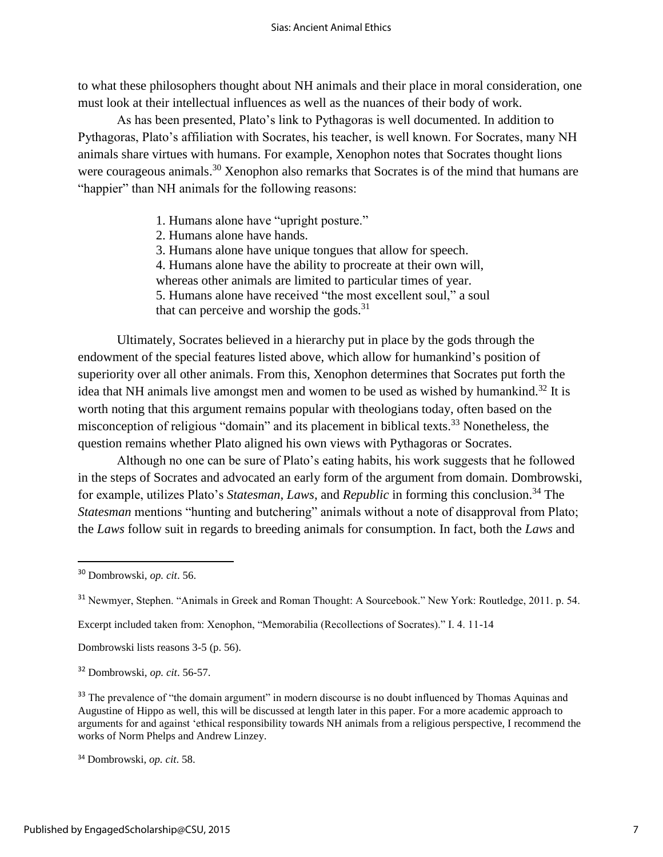to what these philosophers thought about NH animals and their place in moral consideration, one must look at their intellectual influences as well as the nuances of their body of work.

As has been presented, Plato's link to Pythagoras is well documented. In addition to Pythagoras, Plato's affiliation with Socrates, his teacher, is well known. For Socrates, many NH animals share virtues with humans. For example, Xenophon notes that Socrates thought lions were courageous animals.<sup>30</sup> Xenophon also remarks that Socrates is of the mind that humans are "happier" than NH animals for the following reasons:

- 1. Humans alone have "upright posture."
- 2. Humans alone have hands.
- 3. Humans alone have unique tongues that allow for speech.

4. Humans alone have the ability to procreate at their own will,

whereas other animals are limited to particular times of year.

5. Humans alone have received "the most excellent soul," a soul

that can perceive and worship the gods. $31$ 

Ultimately, Socrates believed in a hierarchy put in place by the gods through the endowment of the special features listed above, which allow for humankind's position of superiority over all other animals. From this, Xenophon determines that Socrates put forth the idea that NH animals live amongst men and women to be used as wished by humankind.<sup>32</sup> It is worth noting that this argument remains popular with theologians today, often based on the misconception of religious "domain" and its placement in biblical texts.<sup>33</sup> Nonetheless, the question remains whether Plato aligned his own views with Pythagoras or Socrates.

Although no one can be sure of Plato's eating habits, his work suggests that he followed in the steps of Socrates and advocated an early form of the argument from domain. Dombrowski, for example, utilizes Plato's *Statesman*, *Laws*, and *Republic* in forming this conclusion.<sup>34</sup> The *Statesman* mentions "hunting and butchering" animals without a note of disapproval from Plato; the *Laws* follow suit in regards to breeding animals for consumption. In fact, both the *Laws* and

 $\overline{\phantom{a}}$ 

Excerpt included taken from: Xenophon, "Memorabilia (Recollections of Socrates)." I. 4. 11-14

Dombrowski lists reasons 3-5 (p. 56).

<sup>32</sup> Dombrowski, *op. cit*. 56-57.

<sup>33</sup> The prevalence of "the domain argument" in modern discourse is no doubt influenced by Thomas Aquinas and Augustine of Hippo as well, this will be discussed at length later in this paper. For a more academic approach to arguments for and against 'ethical responsibility towards NH animals from a religious perspective, I recommend the works of Norm Phelps and Andrew Linzey.

<sup>34</sup> Dombrowski, *op. cit*. 58.

<sup>30</sup> Dombrowski, *op. cit*. 56.

<sup>&</sup>lt;sup>31</sup> Newmyer, Stephen. "Animals in Greek and Roman Thought: A Sourcebook." New York: Routledge, 2011. p. 54.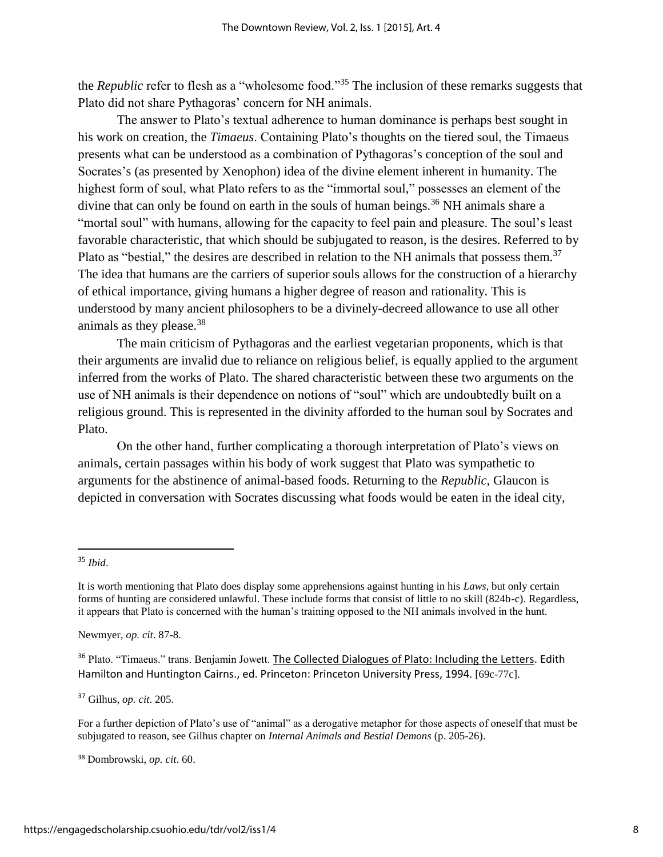the *Republic* refer to flesh as a "wholesome food." <sup>35</sup> The inclusion of these remarks suggests that Plato did not share Pythagoras' concern for NH animals.

The answer to Plato's textual adherence to human dominance is perhaps best sought in his work on creation, the *Timaeus*. Containing Plato's thoughts on the tiered soul, the Timaeus presents what can be understood as a combination of Pythagoras's conception of the soul and Socrates's (as presented by Xenophon) idea of the divine element inherent in humanity. The highest form of soul, what Plato refers to as the "immortal soul," possesses an element of the divine that can only be found on earth in the souls of human beings.<sup>36</sup> NH animals share a "mortal soul" with humans, allowing for the capacity to feel pain and pleasure. The soul's least favorable characteristic, that which should be subjugated to reason, is the desires. Referred to by Plato as "bestial," the desires are described in relation to the NH animals that possess them.<sup>37</sup> The idea that humans are the carriers of superior souls allows for the construction of a hierarchy of ethical importance, giving humans a higher degree of reason and rationality. This is understood by many ancient philosophers to be a divinely-decreed allowance to use all other animals as they please.<sup>38</sup>

The main criticism of Pythagoras and the earliest vegetarian proponents, which is that their arguments are invalid due to reliance on religious belief, is equally applied to the argument inferred from the works of Plato. The shared characteristic between these two arguments on the use of NH animals is their dependence on notions of "soul" which are undoubtedly built on a religious ground. This is represented in the divinity afforded to the human soul by Socrates and Plato.

On the other hand, further complicating a thorough interpretation of Plato's views on animals, certain passages within his body of work suggest that Plato was sympathetic to arguments for the abstinence of animal-based foods. Returning to the *Republic*, Glaucon is depicted in conversation with Socrates discussing what foods would be eaten in the ideal city,

 $\overline{\phantom{a}}$ 

Newmyer, *op. cit*. 87-8.

<sup>36</sup> Plato. "Timaeus." trans. Benjamin Jowett. The Collected Dialogues of Plato: Including the Letters. Edith Hamilton and Huntington Cairns., ed. Princeton: Princeton University Press, 1994. [69c-77c].

<sup>37</sup> Gilhus, *op. cit*. 205.

For a further depiction of Plato's use of "animal" as a derogative metaphor for those aspects of oneself that must be subjugated to reason, see Gilhus chapter on *Internal Animals and Bestial Demons* (p. 205-26).

<sup>38</sup> Dombrowski, *op. cit*. 60.

<sup>35</sup> *Ibid*.

It is worth mentioning that Plato does display some apprehensions against hunting in his *Laws*, but only certain forms of hunting are considered unlawful. These include forms that consist of little to no skill (824b-c). Regardless, it appears that Plato is concerned with the human's training opposed to the NH animals involved in the hunt.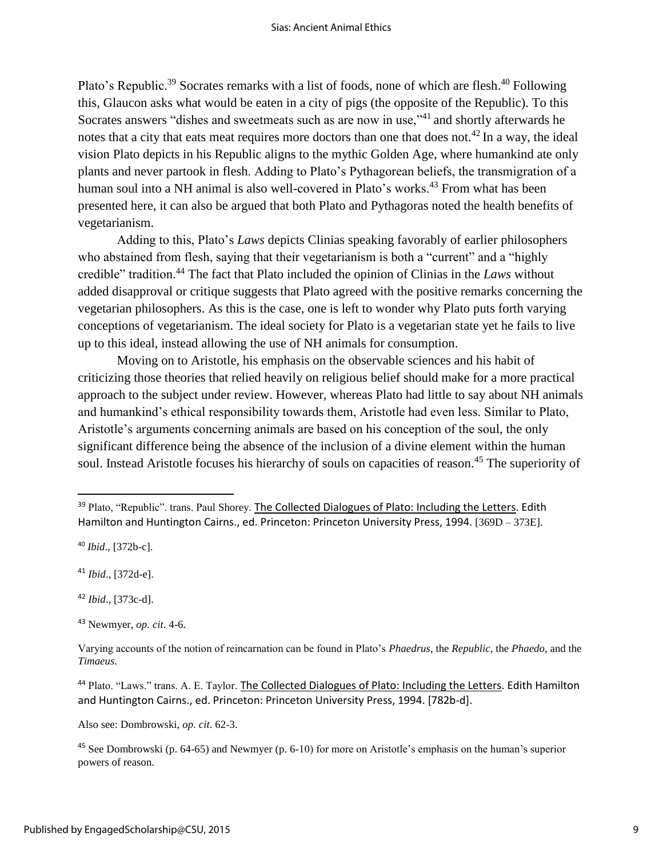Plato's Republic.<sup>39</sup> Socrates remarks with a list of foods, none of which are flesh.<sup>40</sup> Following this, Glaucon asks what would be eaten in a city of pigs (the opposite of the Republic). To this Socrates answers "dishes and sweetmeats such as are now in use,"<sup>41</sup> and shortly afterwards he notes that a city that eats meat requires more doctors than one that does not.<sup>42</sup> In a way, the ideal vision Plato depicts in his Republic aligns to the mythic Golden Age, where humankind ate only plants and never partook in flesh. Adding to Plato's Pythagorean beliefs, the transmigration of a human soul into a NH animal is also well-covered in Plato's works.<sup>43</sup> From what has been presented here, it can also be argued that both Plato and Pythagoras noted the health benefits of vegetarianism.

Adding to this, Plato's *Laws* depicts Clinias speaking favorably of earlier philosophers who abstained from flesh, saying that their vegetarianism is both a "current" and a "highly credible" tradition.<sup>44</sup> The fact that Plato included the opinion of Clinias in the *Laws* without added disapproval or critique suggests that Plato agreed with the positive remarks concerning the vegetarian philosophers. As this is the case, one is left to wonder why Plato puts forth varying conceptions of vegetarianism. The ideal society for Plato is a vegetarian state yet he fails to live up to this ideal, instead allowing the use of NH animals for consumption.

Moving on to Aristotle, his emphasis on the observable sciences and his habit of criticizing those theories that relied heavily on religious belief should make for a more practical approach to the subject under review. However, whereas Plato had little to say about NH animals and humankind's ethical responsibility towards them, Aristotle had even less. Similar to Plato, Aristotle's arguments concerning animals are based on his conception of the soul, the only significant difference being the absence of the inclusion of a divine element within the human soul. Instead Aristotle focuses his hierarchy of souls on capacities of reason.<sup>45</sup> The superiority of

 $\overline{\phantom{a}}$ 

Also see: Dombrowski, *op. cit*. 62-3.

<sup>&</sup>lt;sup>39</sup> Plato, "Republic". trans. Paul Shorey. The Collected Dialogues of Plato: Including the Letters. Edith Hamilton and Huntington Cairns., ed. Princeton: Princeton University Press, 1994. [369D – 373E].

<sup>40</sup> *Ibid*., [372b-c].

<sup>41</sup> *Ibid*., [372d-e].

<sup>42</sup> *Ibid*., [373c-d].

<sup>43</sup> Newmyer, *op. cit*. 4-6.

Varying accounts of the notion of reincarnation can be found in Plato's *Phaedrus*, the *Republic*, the *Phaedo*, and the *Timaeus*.

<sup>44</sup> Plato. "Laws." trans. A. E. Taylor. The Collected Dialogues of Plato: Including the Letters. Edith Hamilton and Huntington Cairns., ed. Princeton: Princeton University Press, 1994. [782b-d].

<sup>45</sup> See Dombrowski (p. 64-65) and Newmyer (p. 6-10) for more on Aristotle's emphasis on the human's superior powers of reason.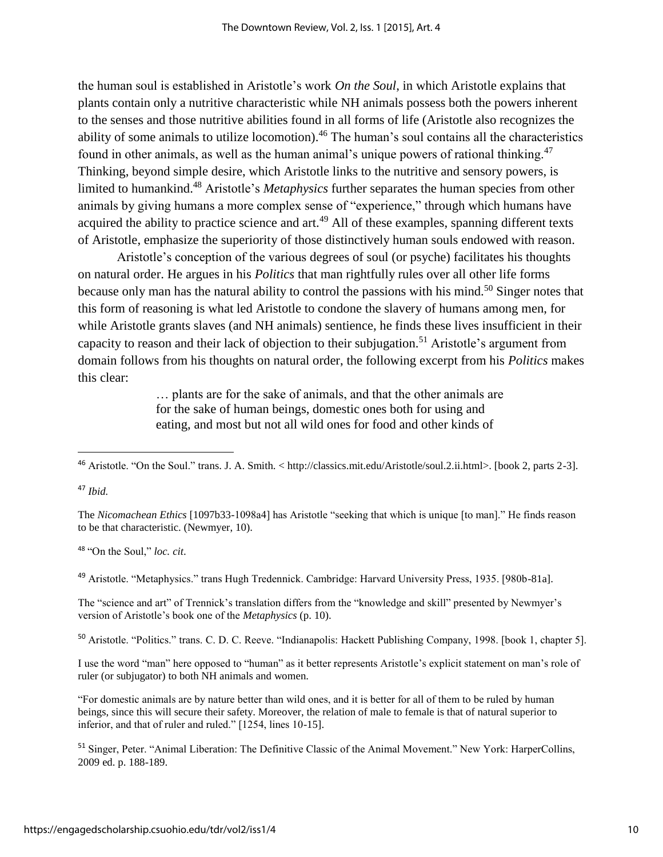the human soul is established in Aristotle's work *On the Soul*, in which Aristotle explains that plants contain only a nutritive characteristic while NH animals possess both the powers inherent to the senses and those nutritive abilities found in all forms of life (Aristotle also recognizes the ability of some animals to utilize locomotion).<sup>46</sup> The human's soul contains all the characteristics found in other animals, as well as the human animal's unique powers of rational thinking.<sup>47</sup> Thinking, beyond simple desire, which Aristotle links to the nutritive and sensory powers, is limited to humankind.<sup>48</sup> Aristotle's *Metaphysics* further separates the human species from other animals by giving humans a more complex sense of "experience," through which humans have acquired the ability to practice science and  $art<sup>49</sup>$  All of these examples, spanning different texts of Aristotle, emphasize the superiority of those distinctively human souls endowed with reason.

Aristotle's conception of the various degrees of soul (or psyche) facilitates his thoughts on natural order. He argues in his *Politics* that man rightfully rules over all other life forms because only man has the natural ability to control the passions with his mind.<sup>50</sup> Singer notes that this form of reasoning is what led Aristotle to condone the slavery of humans among men, for while Aristotle grants slaves (and NH animals) sentience, he finds these lives insufficient in their capacity to reason and their lack of objection to their subjugation.<sup>51</sup> Aristotle's argument from domain follows from his thoughts on natural order, the following excerpt from his *Politics* makes this clear:

> … plants are for the sake of animals, and that the other animals are for the sake of human beings, domestic ones both for using and eating, and most but not all wild ones for food and other kinds of

 $\overline{\phantom{a}}$ 

The *Nicomachean Ethics* [1097b33-1098a4] has Aristotle "seeking that which is unique [to man]." He finds reason to be that characteristic. (Newmyer, 10).

<sup>48</sup> "On the Soul," *loc. cit*.

<sup>49</sup> Aristotle. "Metaphysics." trans Hugh Tredennick. Cambridge: Harvard University Press, 1935. [980b-81a].

The "science and art" of Trennick's translation differs from the "knowledge and skill" presented by Newmyer's version of Aristotle's book one of the *Metaphysics* (p. 10).

<sup>50</sup> Aristotle. "Politics." trans. C. D. C. Reeve. "Indianapolis: Hackett Publishing Company, 1998. [book 1, chapter 5].

I use the word "man" here opposed to "human" as it better represents Aristotle's explicit statement on man's role of ruler (or subjugator) to both NH animals and women.

"For domestic animals are by nature better than wild ones, and it is better for all of them to be ruled by human beings, since this will secure their safety. Moreover, the relation of male to female is that of natural superior to inferior, and that of ruler and ruled." [1254, lines 10-15].

<sup>51</sup> Singer, Peter. "Animal Liberation: The Definitive Classic of the Animal Movement." New York: HarperCollins, 2009 ed. p. 188-189.

<sup>46</sup> Aristotle. "On the Soul." trans. J. A. Smith. < http://classics.mit.edu/Aristotle/soul.2.ii.html>. [book 2, parts 2-3].

<sup>47</sup> *Ibid.*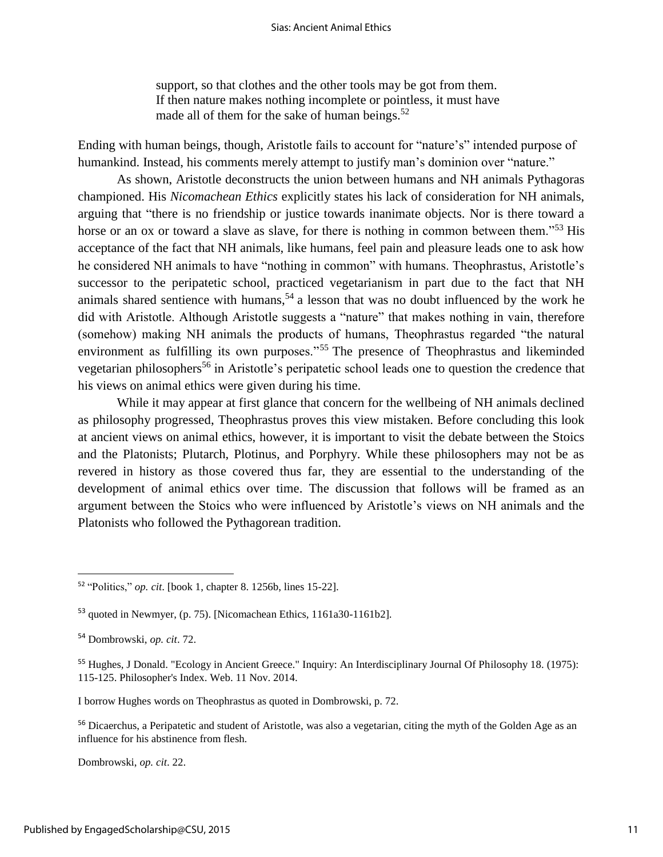support, so that clothes and the other tools may be got from them. If then nature makes nothing incomplete or pointless, it must have made all of them for the sake of human beings. $52$ 

Ending with human beings, though, Aristotle fails to account for "nature's" intended purpose of humankind. Instead, his comments merely attempt to justify man's dominion over "nature."

As shown, Aristotle deconstructs the union between humans and NH animals Pythagoras championed. His *Nicomachean Ethics* explicitly states his lack of consideration for NH animals, arguing that "there is no friendship or justice towards inanimate objects. Nor is there toward a horse or an ox or toward a slave as slave, for there is nothing in common between them."<sup>53</sup> His acceptance of the fact that NH animals, like humans, feel pain and pleasure leads one to ask how he considered NH animals to have "nothing in common" with humans. Theophrastus, Aristotle's successor to the peripatetic school, practiced vegetarianism in part due to the fact that NH animals shared sentience with humans,<sup>54</sup> a lesson that was no doubt influenced by the work he did with Aristotle. Although Aristotle suggests a "nature" that makes nothing in vain, therefore (somehow) making NH animals the products of humans, Theophrastus regarded "the natural environment as fulfilling its own purposes."<sup>55</sup> The presence of Theophrastus and likeminded vegetarian philosophers<sup>56</sup> in Aristotle's peripatetic school leads one to question the credence that his views on animal ethics were given during his time.

While it may appear at first glance that concern for the wellbeing of NH animals declined as philosophy progressed, Theophrastus proves this view mistaken. Before concluding this look at ancient views on animal ethics, however, it is important to visit the debate between the Stoics and the Platonists; Plutarch, Plotinus, and Porphyry. While these philosophers may not be as revered in history as those covered thus far, they are essential to the understanding of the development of animal ethics over time. The discussion that follows will be framed as an argument between the Stoics who were influenced by Aristotle's views on NH animals and the Platonists who followed the Pythagorean tradition.

l

I borrow Hughes words on Theophrastus as quoted in Dombrowski, p. 72.

<sup>56</sup> Dicaerchus, a Peripatetic and student of Aristotle, was also a vegetarian, citing the myth of the Golden Age as an influence for his abstinence from flesh.

Dombrowski, *op. cit*. 22.

<sup>52</sup> "Politics," *op. cit*. [book 1, chapter 8. 1256b, lines 15-22].

<sup>53</sup> quoted in Newmyer, (p. 75). [Nicomachean Ethics, 1161a30-1161b2].

<sup>54</sup> Dombrowski, *op. cit*. 72.

<sup>55</sup> Hughes, J Donald. "Ecology in Ancient Greece." Inquiry: An Interdisciplinary Journal Of Philosophy 18. (1975): 115-125. Philosopher's Index. Web. 11 Nov. 2014.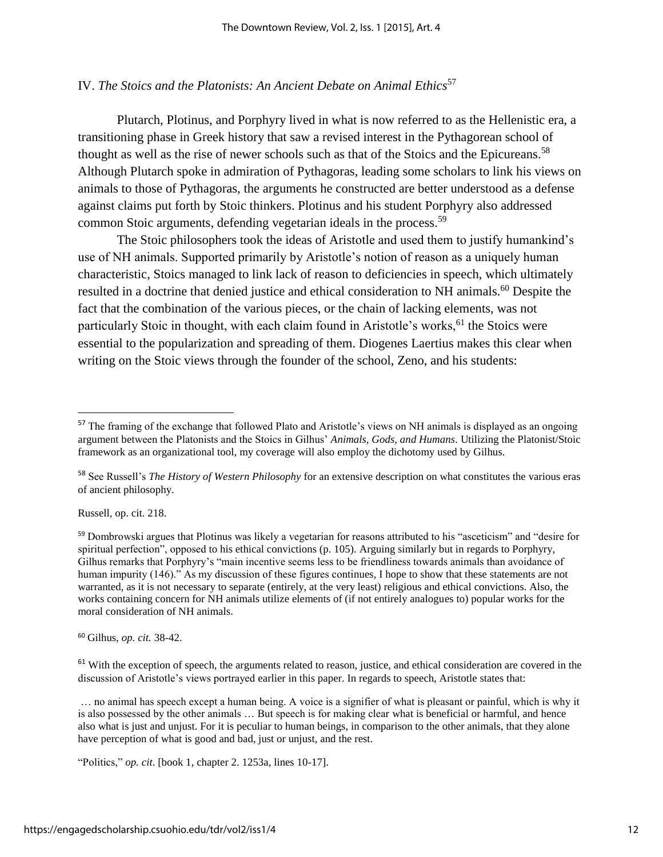# IV. *The Stoics and the Platonists: An Ancient Debate on Animal Ethics*<sup>57</sup>

Plutarch, Plotinus, and Porphyry lived in what is now referred to as the Hellenistic era, a transitioning phase in Greek history that saw a revised interest in the Pythagorean school of thought as well as the rise of newer schools such as that of the Stoics and the Epicureans.<sup>58</sup> Although Plutarch spoke in admiration of Pythagoras, leading some scholars to link his views on animals to those of Pythagoras, the arguments he constructed are better understood as a defense against claims put forth by Stoic thinkers. Plotinus and his student Porphyry also addressed common Stoic arguments, defending vegetarian ideals in the process.<sup>59</sup>

The Stoic philosophers took the ideas of Aristotle and used them to justify humankind's use of NH animals. Supported primarily by Aristotle's notion of reason as a uniquely human characteristic, Stoics managed to link lack of reason to deficiencies in speech, which ultimately resulted in a doctrine that denied justice and ethical consideration to NH animals.<sup>60</sup> Despite the fact that the combination of the various pieces, or the chain of lacking elements, was not particularly Stoic in thought, with each claim found in Aristotle's works, $61$  the Stoics were essential to the popularization and spreading of them. Diogenes Laertius makes this clear when writing on the Stoic views through the founder of the school, Zeno, and his students:

Russell, op. cit. 218.

 $\overline{\phantom{a}}$ 

<sup>60</sup> Gilhus, *op. cit.* 38-42.

 $61$  With the exception of speech, the arguments related to reason, justice, and ethical consideration are covered in the discussion of Aristotle's views portrayed earlier in this paper. In regards to speech, Aristotle states that:

… no animal has speech except a human being. A voice is a signifier of what is pleasant or painful, which is why it is also possessed by the other animals … But speech is for making clear what is beneficial or harmful, and hence also what is just and unjust. For it is peculiar to human beings, in comparison to the other animals, that they alone have perception of what is good and bad, just or unjust, and the rest.

"Politics," *op. cit*. [book 1, chapter 2. 1253a, lines 10-17].

<sup>&</sup>lt;sup>57</sup> The framing of the exchange that followed Plato and Aristotle's views on NH animals is displayed as an ongoing argument between the Platonists and the Stoics in Gilhus' *Animals, Gods, and Humans*. Utilizing the Platonist/Stoic framework as an organizational tool, my coverage will also employ the dichotomy used by Gilhus.

<sup>58</sup> See Russell's *The History of Western Philosophy* for an extensive description on what constitutes the various eras of ancient philosophy.

<sup>59</sup> Dombrowski argues that Plotinus was likely a vegetarian for reasons attributed to his "asceticism" and "desire for spiritual perfection", opposed to his ethical convictions (p. 105). Arguing similarly but in regards to Porphyry, Gilhus remarks that Porphyry's "main incentive seems less to be friendliness towards animals than avoidance of human impurity (146)." As my discussion of these figures continues, I hope to show that these statements are not warranted, as it is not necessary to separate (entirely, at the very least) religious and ethical convictions. Also, the works containing concern for NH animals utilize elements of (if not entirely analogues to) popular works for the moral consideration of NH animals.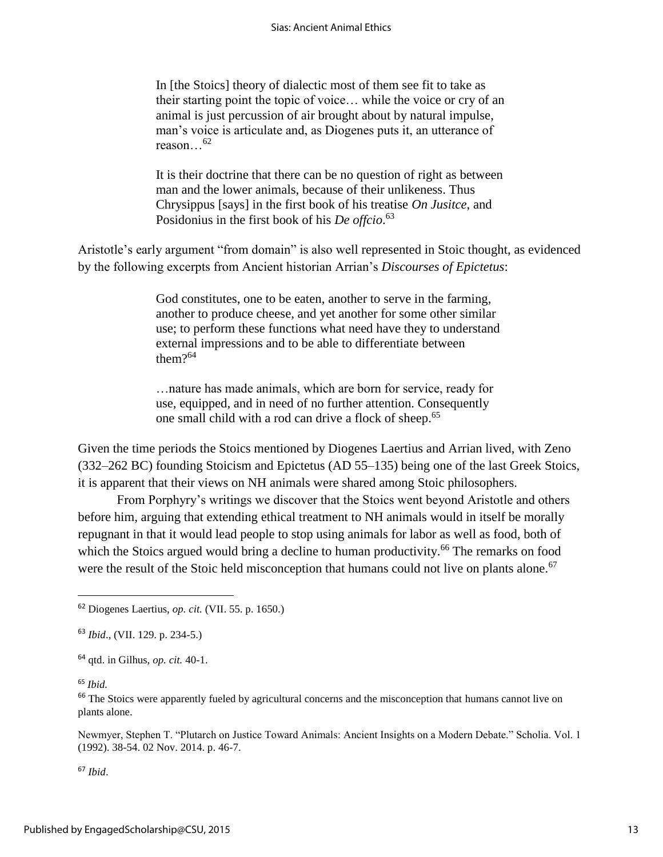In [the Stoics] theory of dialectic most of them see fit to take as their starting point the topic of voice… while the voice or cry of an animal is just percussion of air brought about by natural impulse, man's voice is articulate and, as Diogenes puts it, an utterance of reason…<sup>62</sup>

It is their doctrine that there can be no question of right as between man and the lower animals, because of their unlikeness. Thus Chrysippus [says] in the first book of his treatise *On Jusitce*, and Posidonius in the first book of his *De offcio*. 63

Aristotle's early argument "from domain" is also well represented in Stoic thought, as evidenced by the following excerpts from Ancient historian Arrian's *Discourses of Epictetus*:

> God constitutes, one to be eaten, another to serve in the farming, another to produce cheese, and yet another for some other similar use; to perform these functions what need have they to understand external impressions and to be able to differentiate between them?<sup>64</sup>

…nature has made animals, which are born for service, ready for use, equipped, and in need of no further attention. Consequently one small child with a rod can drive a flock of sheep.<sup>65</sup>

Given the time periods the Stoics mentioned by Diogenes Laertius and Arrian lived, with Zeno (332–262 BC) founding Stoicism and Epictetus (AD 55–135) being one of the last Greek Stoics, it is apparent that their views on NH animals were shared among Stoic philosophers.

From Porphyry's writings we discover that the Stoics went beyond Aristotle and others before him, arguing that extending ethical treatment to NH animals would in itself be morally repugnant in that it would lead people to stop using animals for labor as well as food, both of which the Stoics argued would bring a decline to human productivity.<sup>66</sup> The remarks on food were the result of the Stoic held misconception that humans could not live on plants alone.<sup>67</sup>

<sup>64</sup> qtd. in Gilhus, *op. cit.* 40-1.

### <sup>65</sup> *Ibid.*

 $\overline{\phantom{a}}$ 

<sup>66</sup> The Stoics were apparently fueled by agricultural concerns and the misconception that humans cannot live on plants alone.

Newmyer, Stephen T. "Plutarch on Justice Toward Animals: Ancient Insights on a Modern Debate." Scholia. Vol. 1 (1992). 38-54. 02 Nov. 2014. p. 46-7.

<sup>67</sup> *Ibid*.

<sup>62</sup> Diogenes Laertius, *op. cit.* (VII. 55. p. 1650.)

<sup>63</sup> *Ibid*., (VII. 129. p. 234-5.)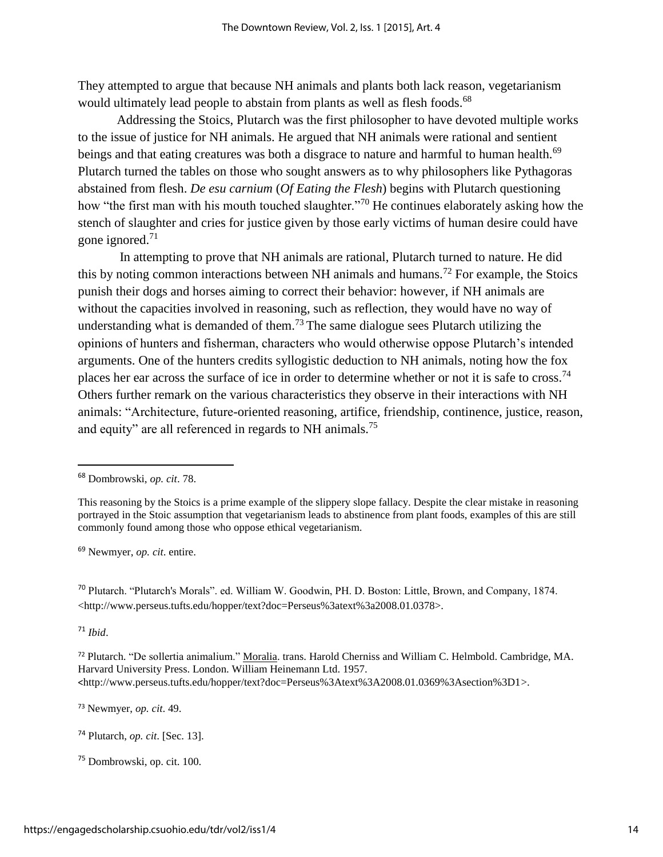They attempted to argue that because NH animals and plants both lack reason, vegetarianism would ultimately lead people to abstain from plants as well as flesh foods.<sup>68</sup>

Addressing the Stoics, Plutarch was the first philosopher to have devoted multiple works to the issue of justice for NH animals. He argued that NH animals were rational and sentient beings and that eating creatures was both a disgrace to nature and harmful to human health.<sup>69</sup> Plutarch turned the tables on those who sought answers as to why philosophers like Pythagoras abstained from flesh. *De esu carnium* (*Of Eating the Flesh*) begins with Plutarch questioning how "the first man with his mouth touched slaughter."<sup>70</sup> He continues elaborately asking how the stench of slaughter and cries for justice given by those early victims of human desire could have gone ignored.<sup>71</sup>

In attempting to prove that NH animals are rational, Plutarch turned to nature. He did this by noting common interactions between NH animals and humans.<sup>72</sup> For example, the Stoics punish their dogs and horses aiming to correct their behavior: however, if NH animals are without the capacities involved in reasoning, such as reflection, they would have no way of understanding what is demanded of them.<sup>73</sup> The same dialogue sees Plutarch utilizing the opinions of hunters and fisherman, characters who would otherwise oppose Plutarch's intended arguments. One of the hunters credits syllogistic deduction to NH animals, noting how the fox places her ear across the surface of ice in order to determine whether or not it is safe to cross.<sup>74</sup> Others further remark on the various characteristics they observe in their interactions with NH animals: "Architecture, future-oriented reasoning, artifice, friendship, continence, justice, reason, and equity" are all referenced in regards to NH animals.<sup>75</sup>

<sup>69</sup> Newmyer, *op. cit*. entire.

<sup>70</sup> Plutarch. "Plutarch's Morals". ed. William W. Goodwin, PH. D. Boston: Little, Brown, and Company, 1874. <http://www.perseus.tufts.edu/hopper/text?doc=Perseus%3atext%3a2008.01.0378>.

<sup>71</sup> *Ibid*.

 $\overline{\phantom{a}}$ 

<sup>73</sup> Newmyer, *op. cit*. 49.

<sup>68</sup> Dombrowski, *op. cit*. 78.

This reasoning by the Stoics is a prime example of the slippery slope fallacy. Despite the clear mistake in reasoning portrayed in the Stoic assumption that vegetarianism leads to abstinence from plant foods, examples of this are still commonly found among those who oppose ethical vegetarianism.

<sup>72</sup> Plutarch. "De sollertia animalium." Moralia. trans. Harold Cherniss and William C. Helmbold. Cambridge, MA. Harvard University Press. London. William Heinemann Ltd. 1957. <http://www.perseus.tufts.edu/hopper/text?doc=Perseus%3Atext%3A2008.01.0369%3Asection%3D1>.

<sup>74</sup> Plutarch, *op. cit*. [Sec. 13].

<sup>75</sup> Dombrowski, op. cit. 100.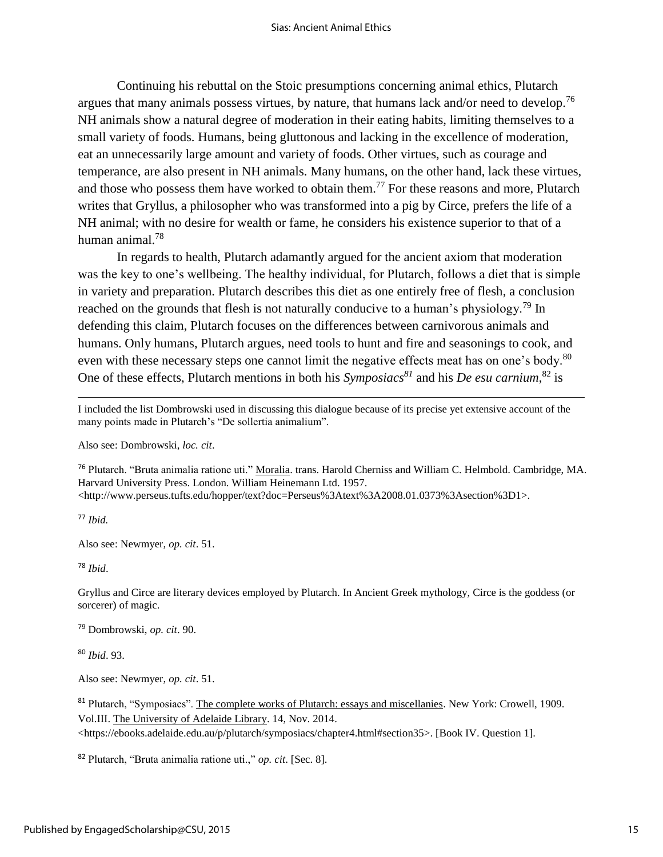Continuing his rebuttal on the Stoic presumptions concerning animal ethics, Plutarch argues that many animals possess virtues, by nature, that humans lack and/or need to develop.<sup>76</sup> NH animals show a natural degree of moderation in their eating habits, limiting themselves to a small variety of foods. Humans, being gluttonous and lacking in the excellence of moderation, eat an unnecessarily large amount and variety of foods. Other virtues, such as courage and temperance, are also present in NH animals. Many humans, on the other hand, lack these virtues, and those who possess them have worked to obtain them.<sup>77</sup> For these reasons and more, Plutarch writes that Gryllus, a philosopher who was transformed into a pig by Circe, prefers the life of a NH animal; with no desire for wealth or fame, he considers his existence superior to that of a human animal.<sup>78</sup>

In regards to health, Plutarch adamantly argued for the ancient axiom that moderation was the key to one's wellbeing. The healthy individual, for Plutarch, follows a diet that is simple in variety and preparation. Plutarch describes this diet as one entirely free of flesh, a conclusion reached on the grounds that flesh is not naturally conducive to a human's physiology.<sup>79</sup> In defending this claim, Plutarch focuses on the differences between carnivorous animals and humans. Only humans, Plutarch argues, need tools to hunt and fire and seasonings to cook, and even with these necessary steps one cannot limit the negative effects meat has on one's body.<sup>80</sup> One of these effects, Plutarch mentions in both his *Symposiacs<sup>81</sup>* and his *De esu carnium*, <sup>82</sup> is

I included the list Dombrowski used in discussing this dialogue because of its precise yet extensive account of the many points made in Plutarch's "De sollertia animalium".

Also see: Dombrowski, *loc. cit*.

<sup>76</sup> Plutarch. "Bruta animalia ratione uti." Moralia. trans. Harold Cherniss and William C. Helmbold. Cambridge, MA. Harvard University Press. London. William Heinemann Ltd. 1957. <http://www.perseus.tufts.edu/hopper/text?doc=Perseus%3Atext%3A2008.01.0373%3Asection%3D1>.

<sup>77</sup> *Ibid.*

 $\overline{\phantom{a}}$ 

Also see: Newmyer, *op. cit*. 51.

<sup>78</sup> *Ibid*.

Gryllus and Circe are literary devices employed by Plutarch. In Ancient Greek mythology, Circe is the goddess (or sorcerer) of magic.

<sup>79</sup> Dombrowski, *op. cit*. 90.

<sup>80</sup> *Ibid*. 93.

Also see: Newmyer, *op. cit*. 51.

<sup>81</sup> Plutarch, "Symposiacs". The complete works of Plutarch: essays and miscellanies. New York: Crowell, 1909. Vol.III. The University of Adelaide Library. 14, Nov. 2014.

<https://ebooks.adelaide.edu.au/p/plutarch/symposiacs/chapter4.html#section35>. [Book IV. Question 1].

<sup>82</sup> Plutarch, "Bruta animalia ratione uti.," *op. cit*. [Sec. 8].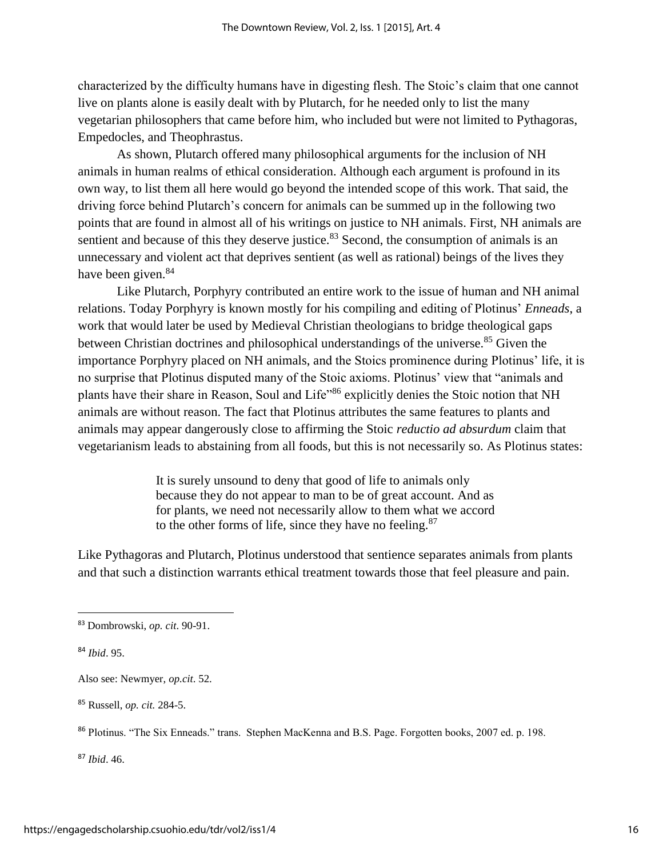characterized by the difficulty humans have in digesting flesh. The Stoic's claim that one cannot live on plants alone is easily dealt with by Plutarch, for he needed only to list the many vegetarian philosophers that came before him, who included but were not limited to Pythagoras, Empedocles, and Theophrastus.

As shown, Plutarch offered many philosophical arguments for the inclusion of NH animals in human realms of ethical consideration. Although each argument is profound in its own way, to list them all here would go beyond the intended scope of this work. That said, the driving force behind Plutarch's concern for animals can be summed up in the following two points that are found in almost all of his writings on justice to NH animals. First, NH animals are sentient and because of this they deserve justice.<sup>83</sup> Second, the consumption of animals is an unnecessary and violent act that deprives sentient (as well as rational) beings of the lives they have been given.<sup>84</sup>

Like Plutarch, Porphyry contributed an entire work to the issue of human and NH animal relations. Today Porphyry is known mostly for his compiling and editing of Plotinus' *Enneads*, a work that would later be used by Medieval Christian theologians to bridge theological gaps between Christian doctrines and philosophical understandings of the universe.<sup>85</sup> Given the importance Porphyry placed on NH animals, and the Stoics prominence during Plotinus' life, it is no surprise that Plotinus disputed many of the Stoic axioms. Plotinus' view that "animals and plants have their share in Reason, Soul and Life"<sup>86</sup> explicitly denies the Stoic notion that NH animals are without reason. The fact that Plotinus attributes the same features to plants and animals may appear dangerously close to affirming the Stoic *reductio ad absurdum* claim that vegetarianism leads to abstaining from all foods, but this is not necessarily so. As Plotinus states:

> It is surely unsound to deny that good of life to animals only because they do not appear to man to be of great account. And as for plants, we need not necessarily allow to them what we accord to the other forms of life, since they have no feeling. $87$

Like Pythagoras and Plutarch, Plotinus understood that sentience separates animals from plants and that such a distinction warrants ethical treatment towards those that feel pleasure and pain.

 $\overline{a}$ 

<sup>87</sup> *Ibid*. 46.

<sup>83</sup> Dombrowski, *op. cit*. 90-91.

<sup>84</sup> *Ibid*. 95.

Also see: Newmyer, *op.cit*. 52.

<sup>85</sup> Russell, *op. cit.* 284-5.

<sup>86</sup> Plotinus. "The Six Enneads." trans. Stephen MacKenna and B.S. Page. Forgotten books, 2007 ed. p. 198.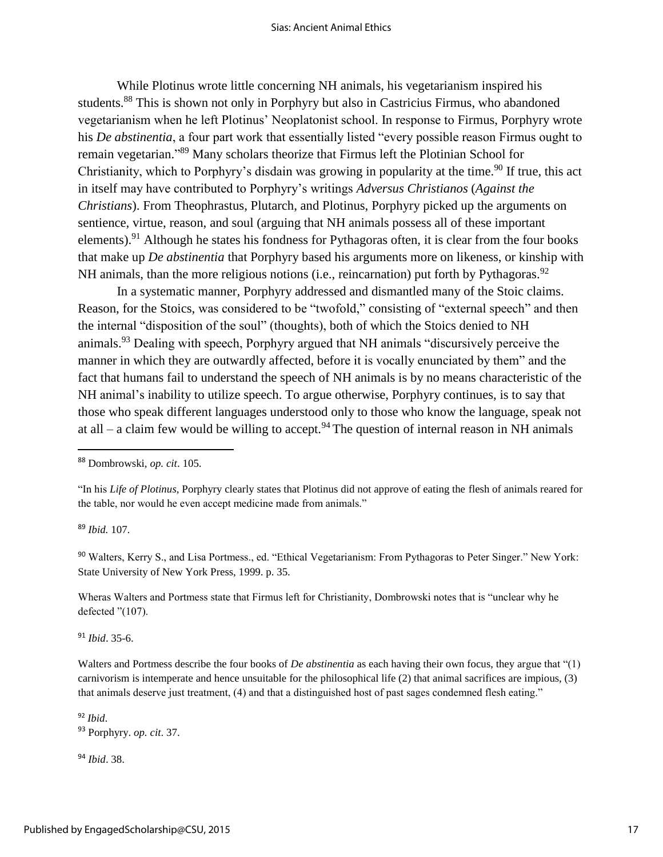While Plotinus wrote little concerning NH animals, his vegetarianism inspired his students.<sup>88</sup> This is shown not only in Porphyry but also in Castricius Firmus, who abandoned vegetarianism when he left Plotinus' Neoplatonist school. In response to Firmus, Porphyry wrote his *De abstinentia*, a four part work that essentially listed "every possible reason Firmus ought to remain vegetarian."<sup>89</sup> Many scholars theorize that Firmus left the Plotinian School for Christianity, which to Porphyry's disdain was growing in popularity at the time.<sup>90</sup> If true, this act in itself may have contributed to Porphyry's writings *Adversus Christianos* (*Against the Christians*). From Theophrastus, Plutarch, and Plotinus, Porphyry picked up the arguments on sentience, virtue, reason, and soul (arguing that NH animals possess all of these important elements).<sup>91</sup> Although he states his fondness for Pythagoras often, it is clear from the four books that make up *De abstinentia* that Porphyry based his arguments more on likeness, or kinship with NH animals, than the more religious notions (i.e., reincarnation) put forth by Pythagoras.<sup>92</sup>

In a systematic manner, Porphyry addressed and dismantled many of the Stoic claims. Reason, for the Stoics, was considered to be "twofold," consisting of "external speech" and then the internal "disposition of the soul" (thoughts), both of which the Stoics denied to NH animals.<sup>93</sup> Dealing with speech, Porphyry argued that NH animals "discursively perceive the manner in which they are outwardly affected, before it is vocally enunciated by them" and the fact that humans fail to understand the speech of NH animals is by no means characteristic of the NH animal's inability to utilize speech. To argue otherwise, Porphyry continues, is to say that those who speak different languages understood only to those who know the language, speak not at all – a claim few would be willing to accept.<sup>94</sup> The question of internal reason in NH animals

<sup>89</sup> *Ibid.* 107.

 $\overline{a}$ 

<sup>90</sup> Walters, Kerry S., and Lisa Portmess., ed. "Ethical Vegetarianism: From Pythagoras to Peter Singer." New York: State University of New York Press, 1999. p. 35.

Wheras Walters and Portmess state that Firmus left for Christianity, Dombrowski notes that is "unclear why he defected "(107).

<sup>91</sup> *Ibid*. 35-6.

Walters and Portmess describe the four books of *De abstinentia* as each having their own focus, they argue that "(1) carnivorism is intemperate and hence unsuitable for the philosophical life (2) that animal sacrifices are impious, (3) that animals deserve just treatment, (4) and that a distinguished host of past sages condemned flesh eating."

<sup>92</sup> *Ibid*. <sup>93</sup> Porphyry. *op. cit*. 37.

<sup>94</sup> *Ibid*. 38.

<sup>88</sup> Dombrowski, *op. cit*. 105.

<sup>&</sup>quot;In his *Life of Plotinus*, Porphyry clearly states that Plotinus did not approve of eating the flesh of animals reared for the table, nor would he even accept medicine made from animals."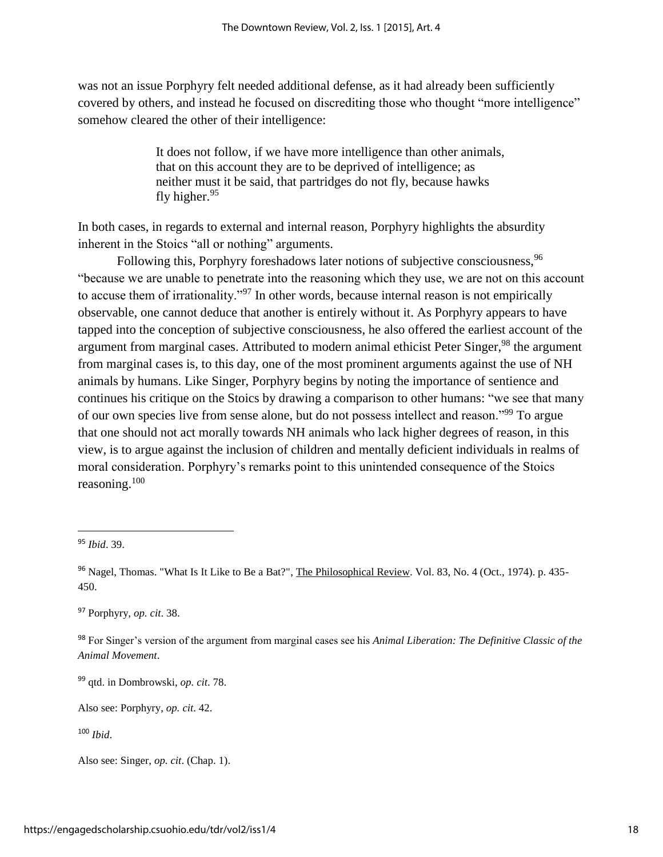was not an issue Porphyry felt needed additional defense, as it had already been sufficiently covered by others, and instead he focused on discrediting those who thought "more intelligence" somehow cleared the other of their intelligence:

> It does not follow, if we have more intelligence than other animals, that on this account they are to be deprived of intelligence; as neither must it be said, that partridges do not fly, because hawks fly higher.<sup>95</sup>

In both cases, in regards to external and internal reason, Porphyry highlights the absurdity inherent in the Stoics "all or nothing" arguments.

Following this, Porphyry foreshadows later notions of subjective consciousness, <sup>96</sup> "because we are unable to penetrate into the reasoning which they use, we are not on this account to accuse them of irrationality."<sup>97</sup> In other words, because internal reason is not empirically observable, one cannot deduce that another is entirely without it. As Porphyry appears to have tapped into the conception of subjective consciousness, he also offered the earliest account of the argument from marginal cases. Attributed to modern animal ethicist Peter Singer,<sup>98</sup> the argument from marginal cases is, to this day, one of the most prominent arguments against the use of NH animals by humans. Like Singer, Porphyry begins by noting the importance of sentience and continues his critique on the Stoics by drawing a comparison to other humans: "we see that many of our own species live from sense alone, but do not possess intellect and reason."<sup>99</sup> To argue that one should not act morally towards NH animals who lack higher degrees of reason, in this view, is to argue against the inclusion of children and mentally deficient individuals in realms of moral consideration. Porphyry's remarks point to this unintended consequence of the Stoics reasoning.<sup>100</sup>

l

<sup>97</sup> Porphyry, *op. cit*. 38.

<sup>98</sup> For Singer's version of the argument from marginal cases see his *Animal Liberation: The Definitive Classic of the Animal Movement*.

<sup>99</sup> qtd. in Dombrowski, *op. cit*. 78.

Also see: Porphyry, *op. cit*. 42.

<sup>100</sup> *Ibid*.

<sup>95</sup> *Ibid*. 39.

<sup>&</sup>lt;sup>96</sup> Nagel, Thomas. "What Is It Like to Be a Bat?", The Philosophical Review. Vol. 83, No. 4 (Oct., 1974). p. 435-450.

Also see: Singer, *op. cit*. (Chap. 1).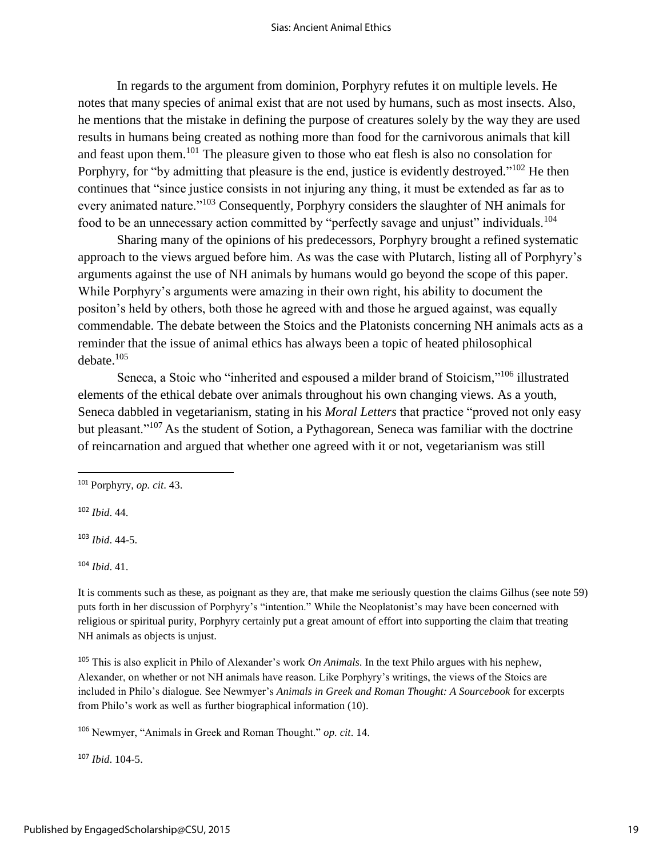In regards to the argument from dominion, Porphyry refutes it on multiple levels. He notes that many species of animal exist that are not used by humans, such as most insects. Also, he mentions that the mistake in defining the purpose of creatures solely by the way they are used results in humans being created as nothing more than food for the carnivorous animals that kill and feast upon them.<sup>101</sup> The pleasure given to those who eat flesh is also no consolation for Porphyry, for "by admitting that pleasure is the end, justice is evidently destroyed."<sup>102</sup> He then continues that "since justice consists in not injuring any thing, it must be extended as far as to every animated nature."<sup>103</sup> Consequently, Porphyry considers the slaughter of NH animals for food to be an unnecessary action committed by "perfectly savage and unjust" individuals.<sup>104</sup>

Sharing many of the opinions of his predecessors, Porphyry brought a refined systematic approach to the views argued before him. As was the case with Plutarch, listing all of Porphyry's arguments against the use of NH animals by humans would go beyond the scope of this paper. While Porphyry's arguments were amazing in their own right, his ability to document the positon's held by others, both those he agreed with and those he argued against, was equally commendable. The debate between the Stoics and the Platonists concerning NH animals acts as a reminder that the issue of animal ethics has always been a topic of heated philosophical debate.<sup>105</sup>

Seneca, a Stoic who "inherited and espoused a milder brand of Stoicism,"<sup>106</sup> illustrated elements of the ethical debate over animals throughout his own changing views. As a youth, Seneca dabbled in vegetarianism, stating in his *Moral Letters* that practice "proved not only easy but pleasant."<sup>107</sup> As the student of Sotion, a Pythagorean, Seneca was familiar with the doctrine of reincarnation and argued that whether one agreed with it or not, vegetarianism was still

<sup>102</sup> *Ibid*. 44.

 $\overline{a}$ 

<sup>103</sup> *Ibid*. 44-5.

<sup>104</sup> *Ibid*. 41.

It is comments such as these, as poignant as they are, that make me seriously question the claims Gilhus (see note 59) puts forth in her discussion of Porphyry's "intention." While the Neoplatonist's may have been concerned with religious or spiritual purity, Porphyry certainly put a great amount of effort into supporting the claim that treating NH animals as objects is unjust.

<sup>105</sup> This is also explicit in Philo of Alexander's work *On Animals*. In the text Philo argues with his nephew, Alexander, on whether or not NH animals have reason. Like Porphyry's writings, the views of the Stoics are included in Philo's dialogue. See Newmyer's *Animals in Greek and Roman Thought: A Sourcebook* for excerpts from Philo's work as well as further biographical information (10).

<sup>106</sup> Newmyer, "Animals in Greek and Roman Thought." *op. cit*. 14.

<sup>107</sup> *Ibid*. 104-5.

<sup>101</sup> Porphyry, *op. cit*. 43.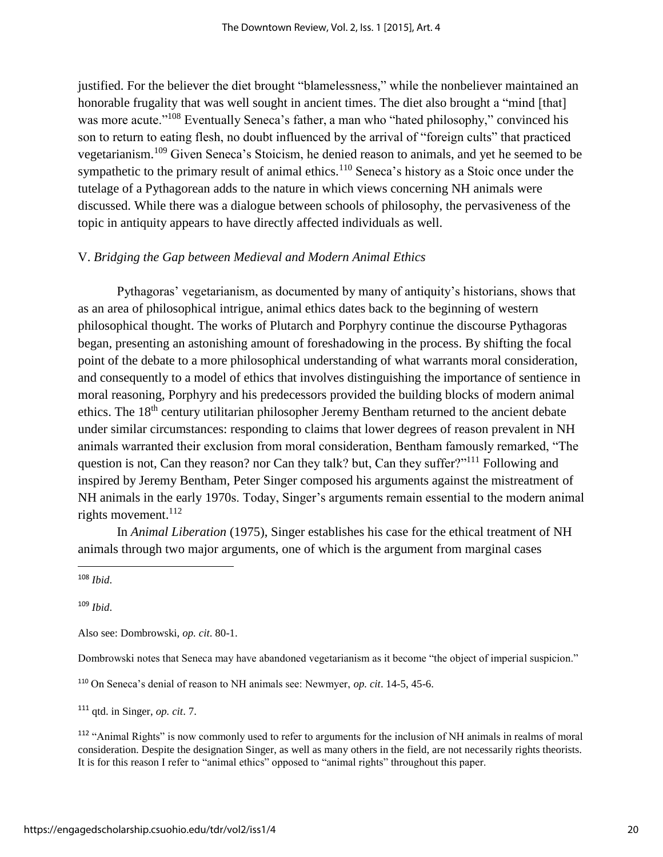justified. For the believer the diet brought "blamelessness," while the nonbeliever maintained an honorable frugality that was well sought in ancient times. The diet also brought a "mind [that] was more acute."<sup>108</sup> Eventually Seneca's father, a man who "hated philosophy," convinced his son to return to eating flesh, no doubt influenced by the arrival of "foreign cults" that practiced vegetarianism.<sup>109</sup> Given Seneca's Stoicism, he denied reason to animals, and yet he seemed to be sympathetic to the primary result of animal ethics.<sup>110</sup> Seneca's history as a Stoic once under the tutelage of a Pythagorean adds to the nature in which views concerning NH animals were discussed. While there was a dialogue between schools of philosophy, the pervasiveness of the topic in antiquity appears to have directly affected individuals as well.

### V. *Bridging the Gap between Medieval and Modern Animal Ethics*

Pythagoras' vegetarianism, as documented by many of antiquity's historians, shows that as an area of philosophical intrigue, animal ethics dates back to the beginning of western philosophical thought. The works of Plutarch and Porphyry continue the discourse Pythagoras began, presenting an astonishing amount of foreshadowing in the process. By shifting the focal point of the debate to a more philosophical understanding of what warrants moral consideration, and consequently to a model of ethics that involves distinguishing the importance of sentience in moral reasoning, Porphyry and his predecessors provided the building blocks of modern animal ethics. The 18<sup>th</sup> century utilitarian philosopher Jeremy Bentham returned to the ancient debate under similar circumstances: responding to claims that lower degrees of reason prevalent in NH animals warranted their exclusion from moral consideration, Bentham famously remarked, "The question is not, Can they reason? nor Can they talk? but, Can they suffer?"<sup>111</sup> Following and inspired by Jeremy Bentham, Peter Singer composed his arguments against the mistreatment of NH animals in the early 1970s. Today, Singer's arguments remain essential to the modern animal rights movement.<sup>112</sup>

In *Animal Liberation* (1975), Singer establishes his case for the ethical treatment of NH animals through two major arguments, one of which is the argument from marginal cases

<sup>108</sup> *Ibid*.

 $\overline{\phantom{a}}$ 

<sup>109</sup> *Ibid*.

Also see: Dombrowski, *op. cit*. 80-1.

Dombrowski notes that Seneca may have abandoned vegetarianism as it become "the object of imperial suspicion."

<sup>110</sup> On Seneca's denial of reason to NH animals see: Newmyer, *op. cit*. 14-5, 45-6.

<sup>111</sup> qtd. in Singer, *op. cit*. 7.

<sup>112</sup> "Animal Rights" is now commonly used to refer to arguments for the inclusion of NH animals in realms of moral consideration. Despite the designation Singer, as well as many others in the field, are not necessarily rights theorists. It is for this reason I refer to "animal ethics" opposed to "animal rights" throughout this paper.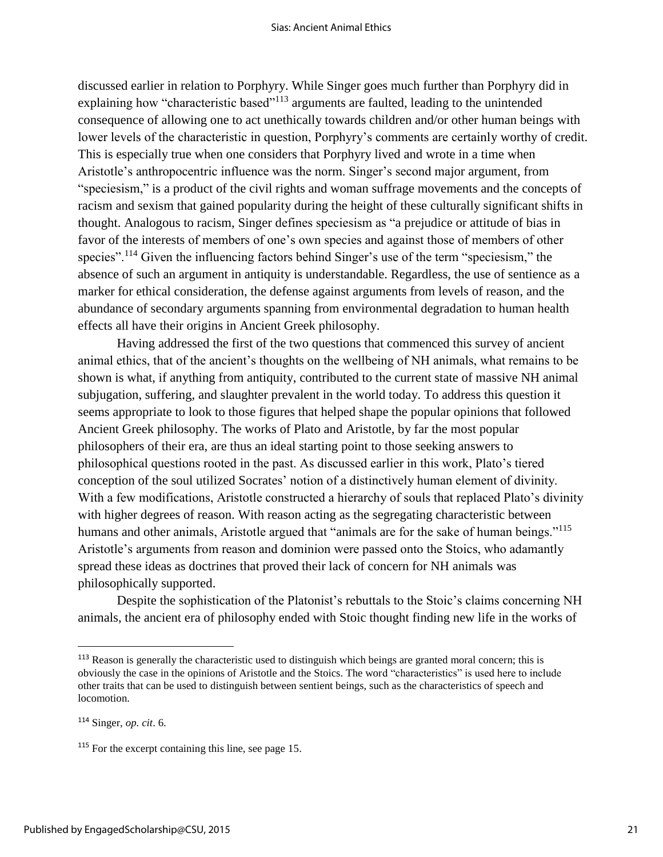discussed earlier in relation to Porphyry. While Singer goes much further than Porphyry did in explaining how "characteristic based"<sup>113</sup> arguments are faulted, leading to the unintended consequence of allowing one to act unethically towards children and/or other human beings with lower levels of the characteristic in question, Porphyry's comments are certainly worthy of credit. This is especially true when one considers that Porphyry lived and wrote in a time when Aristotle's anthropocentric influence was the norm. Singer's second major argument, from "speciesism," is a product of the civil rights and woman suffrage movements and the concepts of racism and sexism that gained popularity during the height of these culturally significant shifts in thought. Analogous to racism, Singer defines speciesism as "a prejudice or attitude of bias in favor of the interests of members of one's own species and against those of members of other species".<sup>114</sup> Given the influencing factors behind Singer's use of the term "speciesism," the absence of such an argument in antiquity is understandable. Regardless, the use of sentience as a marker for ethical consideration, the defense against arguments from levels of reason, and the abundance of secondary arguments spanning from environmental degradation to human health effects all have their origins in Ancient Greek philosophy.

Having addressed the first of the two questions that commenced this survey of ancient animal ethics, that of the ancient's thoughts on the wellbeing of NH animals, what remains to be shown is what, if anything from antiquity, contributed to the current state of massive NH animal subjugation, suffering, and slaughter prevalent in the world today. To address this question it seems appropriate to look to those figures that helped shape the popular opinions that followed Ancient Greek philosophy. The works of Plato and Aristotle, by far the most popular philosophers of their era, are thus an ideal starting point to those seeking answers to philosophical questions rooted in the past. As discussed earlier in this work, Plato's tiered conception of the soul utilized Socrates' notion of a distinctively human element of divinity. With a few modifications, Aristotle constructed a hierarchy of souls that replaced Plato's divinity with higher degrees of reason. With reason acting as the segregating characteristic between humans and other animals, Aristotle argued that "animals are for the sake of human beings."<sup>115</sup> Aristotle's arguments from reason and dominion were passed onto the Stoics, who adamantly spread these ideas as doctrines that proved their lack of concern for NH animals was philosophically supported.

Despite the sophistication of the Platonist's rebuttals to the Stoic's claims concerning NH animals, the ancient era of philosophy ended with Stoic thought finding new life in the works of

<sup>&</sup>lt;sup>113</sup> Reason is generally the characteristic used to distinguish which beings are granted moral concern; this is obviously the case in the opinions of Aristotle and the Stoics. The word "characteristics" is used here to include other traits that can be used to distinguish between sentient beings, such as the characteristics of speech and locomotion.

<sup>114</sup> Singer, *op. cit*. 6.

<sup>115</sup> For the excerpt containing this line, see page 15.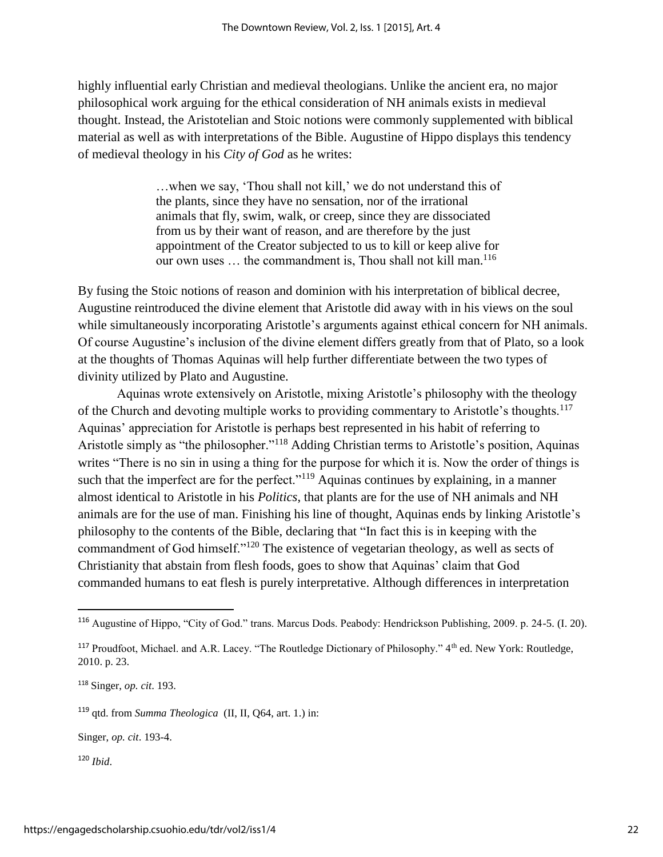highly influential early Christian and medieval theologians. Unlike the ancient era, no major philosophical work arguing for the ethical consideration of NH animals exists in medieval thought. Instead, the Aristotelian and Stoic notions were commonly supplemented with biblical material as well as with interpretations of the Bible. Augustine of Hippo displays this tendency of medieval theology in his *City of God* as he writes:

> …when we say, 'Thou shall not kill,' we do not understand this of the plants, since they have no sensation, nor of the irrational animals that fly, swim, walk, or creep, since they are dissociated from us by their want of reason, and are therefore by the just appointment of the Creator subjected to us to kill or keep alive for our own uses ... the commandment is, Thou shall not kill man.<sup>116</sup>

By fusing the Stoic notions of reason and dominion with his interpretation of biblical decree, Augustine reintroduced the divine element that Aristotle did away with in his views on the soul while simultaneously incorporating Aristotle's arguments against ethical concern for NH animals. Of course Augustine's inclusion of the divine element differs greatly from that of Plato, so a look at the thoughts of Thomas Aquinas will help further differentiate between the two types of divinity utilized by Plato and Augustine.

Aquinas wrote extensively on Aristotle, mixing Aristotle's philosophy with the theology of the Church and devoting multiple works to providing commentary to Aristotle's thoughts.<sup>117</sup> Aquinas' appreciation for Aristotle is perhaps best represented in his habit of referring to Aristotle simply as "the philosopher."<sup>118</sup> Adding Christian terms to Aristotle's position, Aquinas writes "There is no sin in using a thing for the purpose for which it is. Now the order of things is such that the imperfect are for the perfect."<sup>119</sup> Aquinas continues by explaining, in a manner almost identical to Aristotle in his *Politics*, that plants are for the use of NH animals and NH animals are for the use of man. Finishing his line of thought, Aquinas ends by linking Aristotle's philosophy to the contents of the Bible, declaring that "In fact this is in keeping with the commandment of God himself."<sup>120</sup> The existence of vegetarian theology, as well as sects of Christianity that abstain from flesh foods, goes to show that Aquinas' claim that God commanded humans to eat flesh is purely interpretative. Although differences in interpretation

<sup>116</sup> Augustine of Hippo, "City of God." trans. Marcus Dods. Peabody: Hendrickson Publishing, 2009. p. 24-5. (I. 20).

<sup>117</sup> Proudfoot, Michael. and A.R. Lacey. "The Routledge Dictionary of Philosophy." 4th ed. New York: Routledge, 2010. p. 23.

<sup>118</sup> Singer, *op. cit*. 193.

<sup>119</sup> qtd. from *Summa Theologica* (II, II, Q64, art. 1.) in:

Singer, *op. cit*. 193-4.

<sup>120</sup> *Ibid*.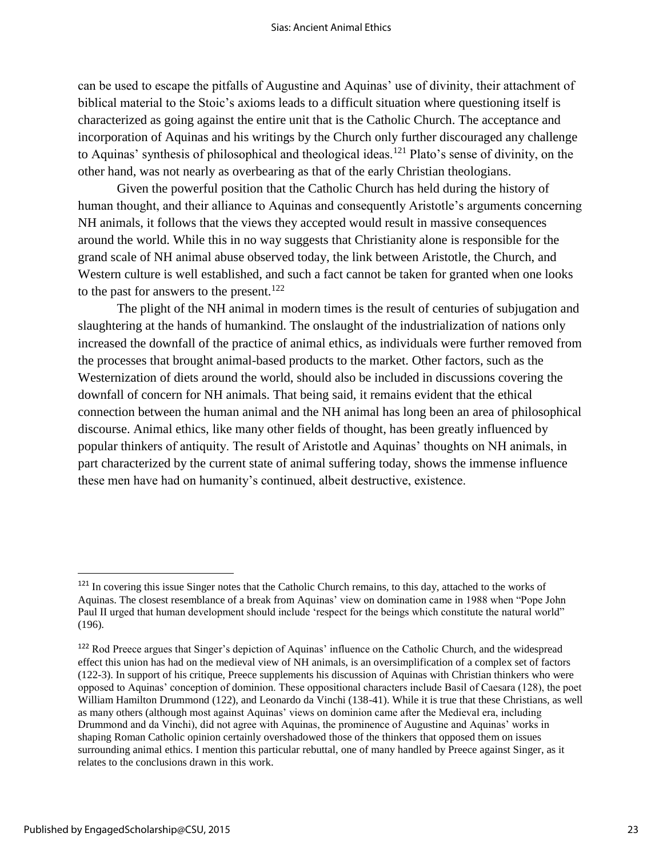can be used to escape the pitfalls of Augustine and Aquinas' use of divinity, their attachment of biblical material to the Stoic's axioms leads to a difficult situation where questioning itself is characterized as going against the entire unit that is the Catholic Church. The acceptance and incorporation of Aquinas and his writings by the Church only further discouraged any challenge to Aquinas' synthesis of philosophical and theological ideas.<sup>121</sup> Plato's sense of divinity, on the other hand, was not nearly as overbearing as that of the early Christian theologians.

Given the powerful position that the Catholic Church has held during the history of human thought, and their alliance to Aquinas and consequently Aristotle's arguments concerning NH animals, it follows that the views they accepted would result in massive consequences around the world. While this in no way suggests that Christianity alone is responsible for the grand scale of NH animal abuse observed today, the link between Aristotle, the Church, and Western culture is well established, and such a fact cannot be taken for granted when one looks to the past for answers to the present.<sup>122</sup>

The plight of the NH animal in modern times is the result of centuries of subjugation and slaughtering at the hands of humankind. The onslaught of the industrialization of nations only increased the downfall of the practice of animal ethics, as individuals were further removed from the processes that brought animal-based products to the market. Other factors, such as the Westernization of diets around the world, should also be included in discussions covering the downfall of concern for NH animals. That being said, it remains evident that the ethical connection between the human animal and the NH animal has long been an area of philosophical discourse. Animal ethics, like many other fields of thought, has been greatly influenced by popular thinkers of antiquity. The result of Aristotle and Aquinas' thoughts on NH animals, in part characterized by the current state of animal suffering today, shows the immense influence these men have had on humanity's continued, albeit destructive, existence.

<sup>&</sup>lt;sup>121</sup> In covering this issue Singer notes that the Catholic Church remains, to this day, attached to the works of Aquinas. The closest resemblance of a break from Aquinas' view on domination came in 1988 when "Pope John Paul II urged that human development should include 'respect for the beings which constitute the natural world" (196).

<sup>122</sup> Rod Preece argues that Singer's depiction of Aquinas' influence on the Catholic Church, and the widespread effect this union has had on the medieval view of NH animals, is an oversimplification of a complex set of factors (122-3). In support of his critique, Preece supplements his discussion of Aquinas with Christian thinkers who were opposed to Aquinas' conception of dominion. These oppositional characters include Basil of Caesara (128), the poet William Hamilton Drummond (122), and Leonardo da Vinchi (138-41). While it is true that these Christians, as well as many others (although most against Aquinas' views on dominion came after the Medieval era, including Drummond and da Vinchi), did not agree with Aquinas, the prominence of Augustine and Aquinas' works in shaping Roman Catholic opinion certainly overshadowed those of the thinkers that opposed them on issues surrounding animal ethics. I mention this particular rebuttal, one of many handled by Preece against Singer, as it relates to the conclusions drawn in this work.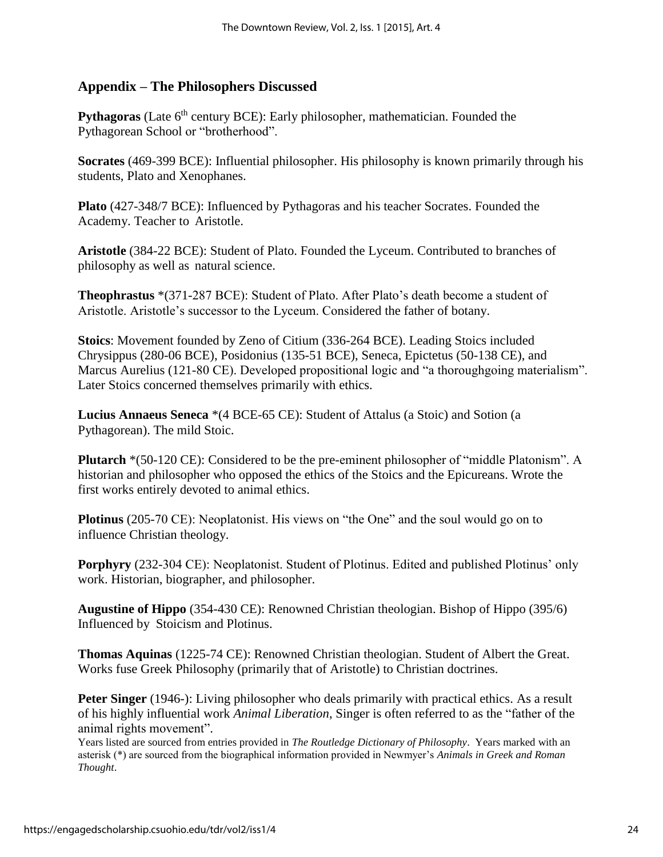## **Appendix – The Philosophers Discussed**

**Pythagoras** (Late 6<sup>th</sup> century BCE): Early philosopher, mathematician. Founded the Pythagorean School or "brotherhood".

**Socrates** (469-399 BCE): Influential philosopher. His philosophy is known primarily through his students, Plato and Xenophanes.

**Plato** (427-348/7 BCE): Influenced by Pythagoras and his teacher Socrates. Founded the Academy. Teacher to Aristotle.

**Aristotle** (384-22 BCE): Student of Plato. Founded the Lyceum. Contributed to branches of philosophy as well as natural science.

**Theophrastus** \*(371-287 BCE): Student of Plato. After Plato's death become a student of Aristotle. Aristotle's successor to the Lyceum. Considered the father of botany.

**Stoics**: Movement founded by Zeno of Citium (336-264 BCE). Leading Stoics included Chrysippus (280-06 BCE), Posidonius (135-51 BCE), Seneca, Epictetus (50-138 CE), and Marcus Aurelius (121-80 CE). Developed propositional logic and "a thoroughgoing materialism". Later Stoics concerned themselves primarily with ethics.

**Lucius Annaeus Seneca** \*(4 BCE-65 CE): Student of Attalus (a Stoic) and Sotion (a Pythagorean). The mild Stoic.

**Plutarch** \*(50-120 CE): Considered to be the pre-eminent philosopher of "middle Platonism". A historian and philosopher who opposed the ethics of the Stoics and the Epicureans. Wrote the first works entirely devoted to animal ethics.

**Plotinus** (205-70 CE): Neoplatonist. His views on "the One" and the soul would go on to influence Christian theology.

**Porphyry** (232-304 CE): Neoplatonist. Student of Plotinus. Edited and published Plotinus' only work. Historian, biographer, and philosopher.

**Augustine of Hippo** (354-430 CE): Renowned Christian theologian. Bishop of Hippo (395/6) Influenced by Stoicism and Plotinus.

**Thomas Aquinas** (1225-74 CE): Renowned Christian theologian. Student of Albert the Great. Works fuse Greek Philosophy (primarily that of Aristotle) to Christian doctrines.

**Peter Singer** (1946-): Living philosopher who deals primarily with practical ethics. As a result of his highly influential work *Animal Liberation*, Singer is often referred to as the "father of the animal rights movement".

Years listed are sourced from entries provided in *The Routledge Dictionary of Philosophy*. Years marked with an asterisk (\*) are sourced from the biographical information provided in Newmyer's *Animals in Greek and Roman Thought*.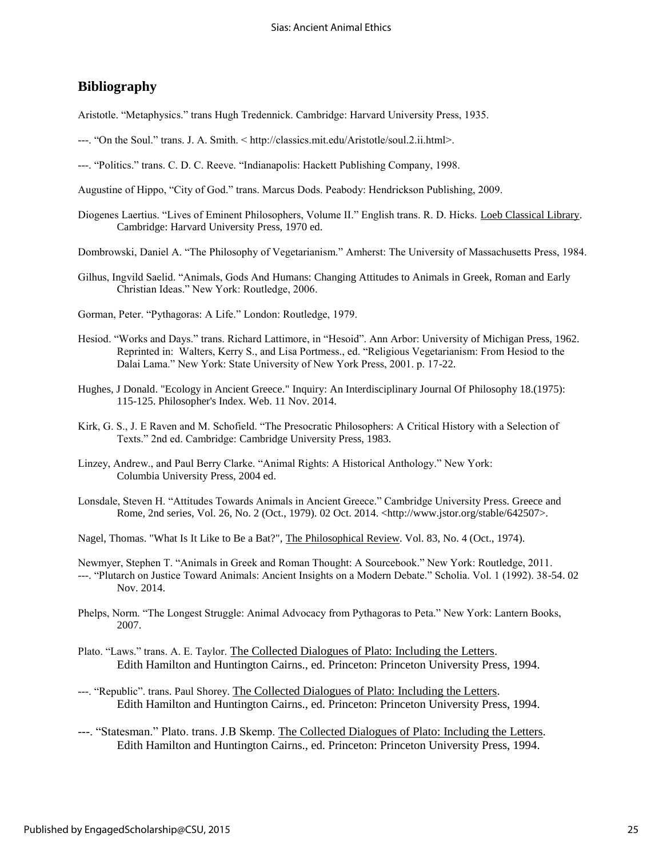### **Bibliography**

Aristotle. "Metaphysics." trans Hugh Tredennick. Cambridge: Harvard University Press, 1935.

- ---. "On the Soul." trans. J. A. Smith. < http://classics.mit.edu/Aristotle/soul.2.ii.html>.
- ---. "Politics." trans. C. D. C. Reeve. "Indianapolis: Hackett Publishing Company, 1998.
- Augustine of Hippo, "City of God." trans. Marcus Dods. Peabody: Hendrickson Publishing, 2009.
- Diogenes Laertius. "Lives of Eminent Philosophers, Volume II." English trans. R. D. Hicks. Loeb Classical Library. Cambridge: Harvard University Press, 1970 ed.
- Dombrowski, Daniel A. "The Philosophy of Vegetarianism." Amherst: The University of Massachusetts Press, 1984.
- Gilhus, Ingvild Saelid. "Animals, Gods And Humans: Changing Attitudes to Animals in Greek, Roman and Early Christian Ideas." New York: Routledge, 2006.
- Gorman, Peter. "Pythagoras: A Life." London: Routledge, 1979.
- Hesiod. "Works and Days." trans. Richard Lattimore, in "Hesoid". Ann Arbor: University of Michigan Press, 1962. Reprinted in: Walters, Kerry S., and Lisa Portmess., ed. "Religious Vegetarianism: From Hesiod to the Dalai Lama." New York: State University of New York Press, 2001. p. 17-22.
- Hughes, J Donald. "Ecology in Ancient Greece." Inquiry: An Interdisciplinary Journal Of Philosophy 18.(1975): 115-125. Philosopher's Index. Web. 11 Nov. 2014.
- Kirk, G. S., J. E Raven and M. Schofield. "The Presocratic Philosophers: A Critical History with a Selection of Texts." 2nd ed. Cambridge: Cambridge University Press, 1983.
- Linzey, Andrew., and Paul Berry Clarke. "Animal Rights: A Historical Anthology." New York: Columbia University Press, 2004 ed.
- Lonsdale, Steven H. "Attitudes Towards Animals in Ancient Greece." Cambridge University Press. Greece and Rome, 2nd series, Vol. 26, No. 2 (Oct., 1979). 02 Oct. 2014. <http://www.jstor.org/stable/642507>.
- Nagel, Thomas. "What Is It Like to Be a Bat?", The Philosophical Review. Vol. 83, No. 4 (Oct., 1974).

Newmyer, Stephen T. "Animals in Greek and Roman Thought: A Sourcebook." New York: Routledge, 2011. ---. "Plutarch on Justice Toward Animals: Ancient Insights on a Modern Debate." Scholia. Vol. 1 (1992). 38-54. 02 Nov. 2014.

- Phelps, Norm. "The Longest Struggle: Animal Advocacy from Pythagoras to Peta." New York: Lantern Books, 2007.
- Plato. "Laws." trans. A. E. Taylor. The Collected Dialogues of Plato: Including the Letters. Edith Hamilton and Huntington Cairns., ed. Princeton: Princeton University Press, 1994.
- ---. "Republic". trans. Paul Shorey. The Collected Dialogues of Plato: Including the Letters. Edith Hamilton and Huntington Cairns., ed. Princeton: Princeton University Press, 1994.
- ---. "Statesman." Plato. trans. J.B Skemp. The Collected Dialogues of Plato: Including the Letters. Edith Hamilton and Huntington Cairns., ed. Princeton: Princeton University Press, 1994.